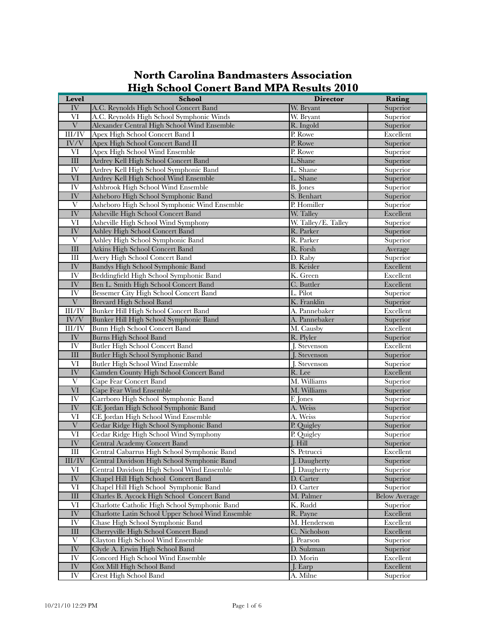| Level                      | <b>School</b>                                     | <b>Director</b>          | Rating               |
|----------------------------|---------------------------------------------------|--------------------------|----------------------|
| IV                         | A.C. Reynolds High School Concert Band            | W. Bryant                | Superior             |
| VI                         | A.C. Reynolds High School Symphonic Winds         | W. Bryant                | Superior             |
| V                          | Alexander Central High School Wind Ensemble       | R. Ingold                | Superior             |
| III/IV                     | Apex High School Concert Band I                   | P. Rowe                  | Excellent            |
| IV/V                       | Apex High School Concert Band II                  | P. Rowe                  | Superior             |
| VI                         | Apex High School Wind Ensemble                    | P. Rowe                  | Superior             |
| $\rm III$                  | Ardrey Kell High School Concert Band              | L.Shane                  | Superior             |
| IV                         | Ardrey Kell High School Symphonic Band            | L. Shane                 | Superior             |
| VI                         | Ardrey Kell High School Wind Ensemble             | L. Shane                 | Superior             |
| IV                         | Ashbrook High School Wind Ensemble                | B. Jones                 | Superior             |
| IV                         | Asheboro High School Symphonic Band               | S. Benhart               | Superior             |
| V                          | Asheboro High School Symphonic Wind Ensemble      | P. Homiller              | Superior             |
| IV                         | Asheville High School Concert Band                | W. Talley                | Excellent            |
| VI                         | Asheville High School Wind Symphony               | W. Talley/E. Talley      | Superior             |
| IV                         | Ashley High School Concert Band                   | R. Parker                | Superior             |
| $\mathbf{V}$               | Ashley High School Symphonic Band                 | R. Parker                | Superior             |
| $\rm III$                  | <b>Atkins High School Concert Band</b>            | R. Forsh                 | Average              |
| Ш                          | Avery High School Concert Band                    | D. Raby                  | Superior             |
| IV                         | Bandys High School Symphonic Band                 | <b>B.</b> Keisler        | Excellent            |
| IV                         | Beddingfield High School Symphonic Band           | K. Green                 | Excellent            |
| IV                         | Ben L. Smith High School Concert Band             | C. Buttler               | Excellent            |
| IV <sub></sub>             | Bessemer City High School Concert Band            | L. Pilot                 | Superior             |
| $\ensuremath{\text{V}}$    | <b>Brevard High School Band</b>                   | K. Franklin              | Superior             |
| III/IV                     | Bunker Hill High School Concert Band              | A. Pannebaker            | Excellent            |
| IV/V                       | Bunker Hill High School Symphonic Band            | A. Pannebaker            | Superior             |
| III/IV                     | Bunn High School Concert Band                     | M. Causby                | Excellent            |
| $\overline{\text{IV}}$     | <b>Burns High School Band</b>                     | R. Plyler                | Superior             |
| IV <sub></sub>             | Butler High School Concert Band                   | J. Stevenson             | Excellent            |
| $\rm III$                  | Butler High School Symphonic Band                 | J. Stevenson             | Superior             |
| VI                         | <b>Butler High School Wind Ensemble</b>           | J. Stevenson             | Superior             |
| IV                         | Camden County High School Concert Band            | R. Lee                   | Excellent            |
| $\mathbf{V}$               | Cape Fear Concert Band                            | M. Williams              | Superior             |
| $\overline{\text{VI}}$     | Cape Fear Wind Ensemble                           | M. Williams              | Superior             |
| IV                         | Carrboro High School Symphonic Band               | F. Jones                 | Superior             |
| ${\rm IV}$                 | CE Jordan High School Symphonic Band              | A. Weiss                 | Superior             |
| VI                         | CE Jordan High School Wind Ensemble               | A. Weiss                 | Superior             |
| $\ensuremath{\text{V}}$    | Cedar Ridge High School Symphonic Band            | P. Quigley               | Superior             |
| $\overline{\text{VI}}$     | Cedar Ridge High School Wind Symphony             | P. Quigley               | Superior             |
| $\overline{\text{IV}}$     | Central Academy Concert Band                      | J. Hill                  | Superior             |
| $\mathop{\rm III}$         | Central Cabarrus High School Symphonic Band       | S. Petrucci              | Excellent            |
| $\overline{\text{III/IV}}$ | Central Davidson High School Symphonic Band       | J. Daugherty             | Superior             |
| VI                         | Central Davidson High School Wind Ensemble        | J. Daugherty             | Superior             |
| IV                         | Chapel Hill High School Concert Band              | D. Carter                | Superior             |
| VI                         | Chapel Hill High School Symphonic Band            | D. Carter                | Superior             |
| $\rm III$                  | Charles B. Aycock High School Concert Band        | M. Palmer                | <b>Below Average</b> |
| VI                         | Charlotte Catholic High School Symphonic Band     | K. Rudd                  | Superior             |
| $\overline{\text{IV}}$     | Charlotte Latin School Upper School Wind Ensemble | R. Payne                 | Excellent            |
| <b>IV</b>                  | Chase High School Symphonic Band                  | M. Henderson             | Excellent            |
| $\mathop{\rm III}$         | Cherryville High School Concert Band              | C. Nicholson             | Excellent            |
| $\mathbf{V}$               | Clayton High School Wind Ensemble                 | $\overline{I}$ . Pearson | Superior             |
| ${\rm IV}$                 | Clyde A. Erwin High School Band                   | D. Sulzman               | Superior             |
| IV                         | <b>Concord High School Wind Ensemble</b>          | D. Morin                 | Excellent            |
| IV                         | Cox Mill High School Band                         | J. Earp                  | Excellent            |
| IV                         | <b>Crest High School Band</b>                     | A. Milne                 | Superior             |

## **North Carolina Bandmasters Association High School Conert Band MPA Results 2010**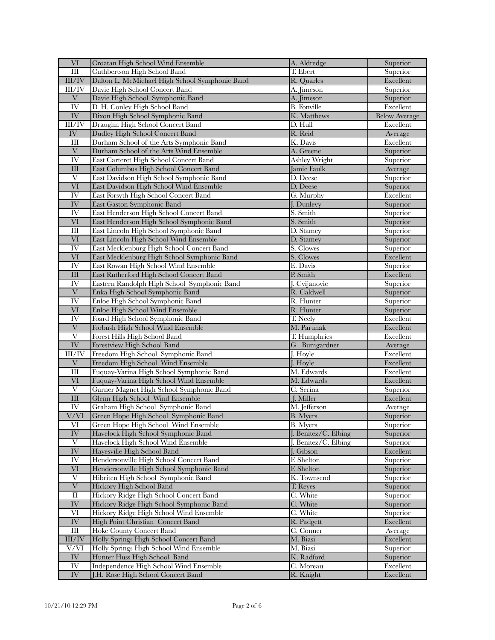| VI                       | Croatan High School Wind Ensemble              | A. Aldredge            | Superior             |
|--------------------------|------------------------------------------------|------------------------|----------------------|
| III                      | Cuthbertson High School Band                   | T. Ebert               | Superior             |
| III/IV                   | Dalton L. McMichael High School Symphonic Band | R. Ouarles             | Excellent            |
| III/IV                   | Davie High School Concert Band                 | A. Jimeson             | Superior             |
| $\overline{\mathrm{V}}$  | Davie High School Symphonic Band               | A. Jimeson             | Superior             |
| IV                       | D. H. Conley High School Band                  | <b>B.</b> Fonville     | Excellent            |
| ${\rm IV}$               | Dixon High School Symphonic Band               | K. Matthews            | <b>Below Average</b> |
| III/IV                   | Draughn High School Concert Band               | D. Hull                | Excellent            |
| IV                       | Dudley High School Concert Band                | R. Reid                | Average              |
| Ш                        | Durham School of the Arts Symphonic Band       | K. Davis               | Excellent            |
| $\overline{\mathrm{V}}$  | Durham School of the Arts Wind Ensemble        | A. Greene              | Superior             |
| IV <sub></sub>           | East Carteret High School Concert Band         | <b>Ashley Wright</b>   | Superior             |
| III                      | East Columbus High School Concert Band         | Jamie Faulk            | Average              |
| V                        | East Davidson High School Symphonic Band       | D. Deese               | Superior             |
| VI                       | East Davidson High School Wind Ensemble        | D. Deese               | Superior             |
| IV                       | East Forsyth High School Concert Band          | G. Murphy              | Excellent            |
| IV                       | East Gaston Symphonic Band                     | J. Dunlevy             | Superior             |
| IV                       | East Henderson High School Concert Band        | $\overline{S}$ . Smith | Superior             |
| VI                       | East Henderson High School Symphonic Band      | S. Smith               | Superior             |
| $\mathop{\rm III}$       | East Lincoln High School Symphonic Band        | D. Stamey              | Superior             |
| VI                       | East Lincoln High School Wind Ensemble         | D. Stamey              | Superior             |
| IV                       | East Mecklenburg High School Concert Band      | S. Clowes              | Superior             |
| VI                       | East Mecklenburg High School Symphonic Band    | S. Clowes              | Excellent            |
| IV <sub></sub>           | East Rowan High School Wind Ensemble           | E. Davis               | Superior             |
| III                      | East Rutherford High School Concert Band       | P. Smith               | Excellent            |
| IV                       | Eastern Randolph High School Symphonic Band    | J. Cvijanovic          | Superior             |
| $\overline{\mathbf{V}}$  | Enka High School Symphonic Band                | R. Caldwell            | Superior             |
| IV                       | Enloe High School Symphonic Band               | R. Hunter              | Superior             |
| VI                       | Enloe High School Wind Ensemble                | R. Hunter              | Superior             |
| IV                       | Foard High School Symphonic Band               | T. Neely               | Excellent            |
| $\ensuremath{\text{V}}$  | Forbush High School Wind Ensemble              | M. Parunak             | Excellent            |
| V                        | Forest Hills High School Band                  | T. Humphries           | Excellent            |
| $\overline{\text{IV}}$   | Forestview High School Band                    | G. Bumgardner          | Average              |
| III/IV                   | Freedom High School Symphonic Band             | J. Hoyle               | Excellent            |
| $\ensuremath{\text{V}}$  | Freedom High School Wind Ensemble              | J. Hoyle               | Excellent            |
| $\mathop{\rm III}$       | Fuquay-Varina High School Symphonic Band       | M. Edwards             | Excellent            |
| VI                       | Fuquay-Varina High School Wind Ensemble        | M. Edwards             | Excellent            |
| $\overline{\mathrm{V}}$  | Garner Magnet High School Symphonic Band       | C. Serina              | Superior             |
| III                      | Glenn High School Wind Ensemble                | J. Miller              | Excellent            |
| IV                       | Graham High School Symphonic Band              | M. Jefferson           | Average              |
| $\overline{\text{V/VI}}$ | Green Hope High School Symphonic Band          | <b>B.</b> Myers        | Superior             |
| VI                       | Green Hope High School Wind Ensemble           | <b>B.</b> Myers        | Superior             |
| $\overline{\text{IV}}$   | Havelock High School Symphonic Band            | J. Benitez/C. Elbing   | Superior             |
| V                        | Havelock High School Wind Ensemble             | J. Benitez/C. Elbing   | Superior             |
| IV                       | Hayesville High School Band                    | J. Gibson              | Excellent            |
| IV                       | Hendersonville High School Concert Band        | F. Shelton             | Superior             |
| VI                       | Hendersonville High School Symphonic Band      | F. Shelton             | Superior             |
| V                        | Hibriten High School Symphonic Band            | K. Townsend            | Superior             |
| $\overline{\mathrm{V}}$  | Hickory High School Band                       | T. Reyes               | Superior             |
| $\overline{\rm II}$      | Hickory Ridge High School Concert Band         | C. White               | Superior             |
| IV                       | Hickory Ridge High School Symphonic Band       | C. White               | Superior             |
| VI                       | Hickory Ridge High School Wind Ensemble        | C. White               | Superior             |
| ${\rm IV}$               | High Point Christian Concert Band              | R. Padgett             | Excellent            |
| $\rm III$                | Hoke County Concert Band                       | C. Conner              | Average              |
| III/IV                   | Holly Springs High School Concert Band         | M. Biasi               | Excellent            |
| V/VI                     | Holly Springs High School Wind Ensemble        | M. Biasi               | Superior             |
| IV                       | Hunter Huss High School Band                   | K. Radford             | Superior             |
| $\overline{\text{IV}}$   | Independence High School Wind Ensemble         | C. Moreau              | Excellent            |
| ${\rm IV}$               | J.H. Rose High School Concert Band             | R. Knight              | Excellent            |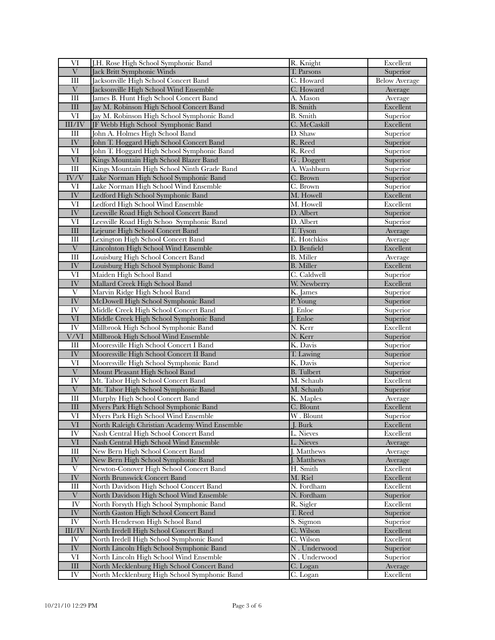| VI                        | J.H. Rose High School Symphonic Band          | R. Knight         | Excellent            |
|---------------------------|-----------------------------------------------|-------------------|----------------------|
| $\overline{\mathrm{V}}$   | Jack Britt Symphonic Winds                    | T. Parsons        | Superior             |
| III                       | Jacksonville High School Concert Band         | C. Howard         | <b>Below Average</b> |
| $\ensuremath{\text{V}}$   | Jacksonville High School Wind Ensemble        | C. Howard         | Average              |
| Ш                         | James B. Hunt High School Concert Band        | A. Mason          | Average              |
| III                       | Jay M. Robinson High School Concert Band      | <b>B.</b> Smith   | Excellent            |
| $\overline{\text{VI}}$    | Jay M. Robinson High School Symphonic Band    | <b>B.</b> Smith   | Superior             |
| $\rm III/IV$              | JF Webb High School Symphonic Band            | C. McCaskill      | Excellent            |
| Ш                         | John A. Holmes High School Band               | D. Shaw           | Superior             |
| ${\rm IV}$                | John T. Hoggard High School Concert Band      | R. Reed           | Superior             |
| VI                        | John T. Hoggard High School Symphonic Band    | R. Reed           | Superior             |
| VI                        | Kings Mountain High School Blazer Band        | G. Doggett        | Superior             |
| $\mathop{\rm III}$        | Kings Mountain High School Ninth Grade Band   | A. Washburn       | Superior             |
| IV/V                      | Lake Norman High School Symphonic Band        | C. Brown          | Superior             |
| VI                        | Lake Norman High School Wind Ensemble         | C. Brown          | Superior             |
| $\overline{\text{IV}}$    | Ledford High School Symphonic Band            | M. Howell         | Excellent            |
| VI                        | Ledford High School Wind Ensemble             | M. Howell         | Excellent            |
| IV                        | Leesville Road High School Concert Band       | D. Albert         | Superior             |
| VI                        | Leesville Road High Schoo Symphonic Band      | D. Albert         | Superior             |
| $\overline{\hbox{III}}$   | Lejeune High School Concert Band              | T. Tyson          | Average              |
| $\mathop{\rm III}$        | Lexington High School Concert Band            | E. Hotchkiss      | Average              |
| $\boldsymbol{\mathrm{V}}$ | Lincolnton High School Wind Ensemble          | D. Benfield       | Excellent            |
| $\overline{III}$          | Louisburg High School Concert Band            | <b>B.</b> Miller  | Average              |
| ${\rm IV}$                | Louisburg High School Symphonic Band          | <b>B.</b> Miller  | Excellent            |
| VI                        | Maiden High School Band                       | C. Caldwell       | Superior             |
| IV                        | Mallard Creek High School Band                | W. Newberry       | Excellent            |
| V                         | Marvin Ridge High School Band                 | K. James          | Superior             |
| IV                        | McDowell High School Symphonic Band           | P. Young          | Superior             |
| IV                        | Middle Creek High School Concert Band         | J. Enloe          | Superior             |
| VI                        | Middle Creek High School Symphonic Band       | J. Enloe          | Superior             |
| IV <sub></sub>            | Millbrook High School Symphonic Band          | N. Kerr           | Excellent            |
| $\overline{\text{V/VI}}$  | Millbrook High School Wind Ensemble           | N. Kerr           | Superior             |
| Ш                         | Mooresville High School Concert I Band        | K. Davis          | Superior             |
| ${\rm IV}$                | Mooresville High School Concert II Band       | T. Lawing         | Superior             |
| VI                        | Mooresville High School Symphonic Band        | K. Davis          | Superior             |
| $\overline{\mathbf{V}}$   | Mount Pleasant High School Band               | <b>B.</b> Tulbert | Superior             |
| IV                        | Mt. Tabor High School Concert Band            | M. Schaub         | Excellent            |
| $\ensuremath{\text{V}}$   | Mt. Tabor High School Symphonic Band          | M. Schaub         | Superior             |
| $\overline{\rm III}$      | Murphy High School Concert Band               | K. Maples         | Average              |
| III                       | Myers Park High School Symphonic Band         | C. Blount         | Excellent            |
| VI                        | Myers Park High School Wind Ensemble          | W. Blount         | Superior             |
| VI                        | North Raleigh Christian Academy Wind Ensemble | J. Burk           | Excellent            |
| $\overline{\rm IV}$       | Nash Central High School Concert Band         | L. Nieves         | Excellent            |
| $\rm{VI}$                 | Nash Central High School Wind Ensemble        | L. Nieves         | Average              |
| Ш                         | New Bern High School Concert Band             | J. Matthews       | Average              |
| IV                        | New Bern High School Symphonic Band           | J. Matthews       | Average              |
| $\overline{\mathrm{V}}$   | Newton-Conover High School Concert Band       | H. Smith          | Excellent            |
| IV                        | North Brunswick Concert Band                  | M. Riel           | Excellent            |
| Ш                         | North Davidson High School Concert Band       | N. Fordham        | Excellent            |
| $\overline{\mathbf{V}}$   | North Davidson High School Wind Ensemble      | N. Fordham        | Superior             |
| IV                        | North Forsyth High School Symphonic Band      | R. Sigler         | Excellent            |
| $\overline{\text{IV}}$    | North Gaston High School Concert Band         | T. Reed           | Superior             |
| $\overline{\rm IV}$       | North Henderson High School Band              | S. Sigmon         | Superior             |
| $\rm III/IV$              | North Iredell High School Concert Band        | C. Wilson         | Excellent            |
| IV                        | North Iredell High School Symphonic Band      | C. Wilson         | Excellent            |
| ${\rm IV}$                | North Lincoln High School Symphonic Band      | N. Underwood      | Superior             |
| VI                        | North Lincoln High School Wind Ensemble       | N. Underwood      | Superior             |
| $\rm III$                 | North Mecklenburg High School Concert Band    | C. Logan          | Average              |
| ${\rm IV}$                | North Mecklenburg High School Symphonic Band  | C. Logan          | Excellent            |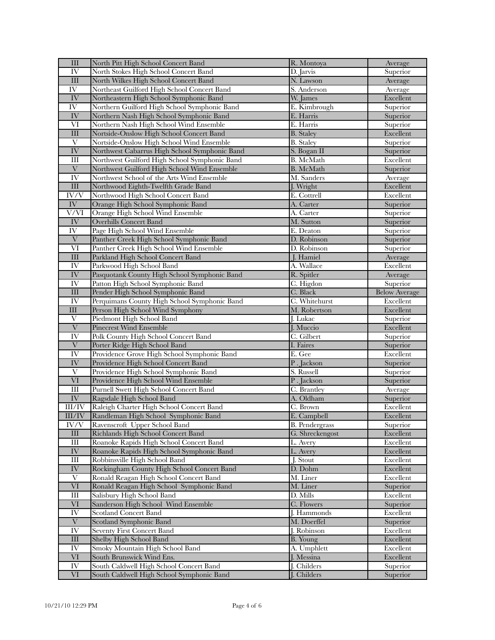| $\mathop{\rm III}$       | North Pitt High School Concert Band           | R. Montoya            | Average              |
|--------------------------|-----------------------------------------------|-----------------------|----------------------|
| IV                       | North Stokes High School Concert Band         | D. Jarvis             | Superior             |
| $\overline{\hbox{III}}$  | North Wilkes High School Concert Band         | N. Lawson             | Average              |
| IV                       | Northeast Guilford High School Concert Band   | S. Anderson           | Average              |
| IV                       | Northeastern High School Symphonic Band       | W. James              | Excellent            |
| IV                       | Northern Guilford High School Symphonic Band  | E. Kimbrough          | Superior             |
| ${\rm IV}$               | Northern Nash High School Symphonic Band      | E. Harris             | Superior             |
| VI                       | Northern Nash High School Wind Ensemble       | E. Harris             | Superior             |
| $\rm III$                | Nortside-Onslow High School Concert Band      | <b>B.</b> Staley      | Excellent            |
| V                        | Nortside-Onslow High School Wind Ensemble     | <b>B.</b> Staley      | Superior             |
| $\overline{\text{IV}}$   | Northwest Cabarrus High School Symphonic Band | S. Bogan II           | Superior             |
| Ш                        | Northwest Guilford High School Symphonic Band | B. McMath             | Excellent            |
| $\overline{V}$           | Northwest Guilford High School Wind Ensemble  | <b>B.</b> McMath      | Superior             |
| IV <sub></sub>           | Northwest School of the Arts Wind Ensemble    | M. Sanders            | Average              |
| $\rm III$                | Northwood Eighth-Twelfth Grade Band           | J. Wright             | Excellent            |
| $\overline{\text{IV/V}}$ | Northwood High School Concert Band            | E. Cottrell           | Excellent            |
| ${\rm IV}$               | Orange High School Symphonic Band             | A. Carter             | Superior             |
| V/VI                     | Orange High School Wind Ensemble              | A. Carter             | Superior             |
| $\overline{\text{IV}}$   | <b>Overhills Concert Band</b>                 | M. Sutton             | Superior             |
| IV                       | Page High School Wind Ensemble                | E. Deaton             | Superior             |
| $\ensuremath{\text{V}}$  | Panther Creek High School Symphonic Band      | D. Robinson           | Superior             |
| VI                       | Panther Creek High School Wind Ensemble       | D. Robinson           | Superior             |
| III                      | Parkland High School Concert Band             | J. Hamiel             | Average              |
| IV                       | Parkwood High School Band                     | A. Wallace            | Excellent            |
| $\overline{\text{IV}}$   | Pasquotank County High School Symphonic Band  | R. Spitler            | Average              |
| IV                       | Patton High School Symphonic Band             | C. Higdon             | Superior             |
| III                      | Pender High School Symphonic Band             | C. Black              | <b>Below Average</b> |
| IV                       | Perquimans County High School Symphonic Band  | C. Whitehurst         | Excellent            |
| III                      | Person High School Wind Symphony              | M. Robertson          | Excellent            |
| $\overline{\mathrm{V}}$  | Piedmont High School Band                     | J. Lukac              | Superior             |
| $\overline{\mathrm{V}}$  | Pinecrest Wind Ensemble                       | J. Muccio             | Excellent            |
| IV                       | Polk County High School Concert Band          | C. Gilbert            | Superior             |
| $\overline{\mathbf{V}}$  | Porter Ridge High School Band                 | I. Faires             | Superior             |
| IV                       | Providence Grove High School Symphonic Band   | E. Gee                | Excellent            |
| IV                       | Providence High School Concert Band           | P.Jackson             | Superior             |
| $\overline{\mathrm{V}}$  | Providence High School Symphonic Band         | S. Russell            | Superior             |
| VI                       | Providence High School Wind Ensemble          | P. Jackson            | Superior             |
| $\mathop{\rm III}$       | Purnell Swett High School Concert Band        | C. Brantley           | Average              |
| ${\rm IV}$               | Ragsdale High School Band                     | A. Oldham             | Superior             |
| III/IV                   | Raleigh Charter High School Concert Band      | C. Brown              | Excellent            |
| $\overline{\rm III/IV}$  | Randleman High School Symphonic Band          | E. Campbell           | Excellent            |
| IV/V                     | Ravenscroft Upper School Band                 | <b>B.</b> Pendergrass | Superior             |
| $\mathop{\rm III}$       | Richlands High School Concert Band            | G. Shreckengost       | Excellent            |
| Ш                        | Roanoke Rapids High School Concert Band       | L. Avery              | Excellent            |
| ${\rm IV}$               | Roanoke Rapids High School Symphonic Band     | L. Avery              | Excellent            |
| $\mathop{\rm III}$       | Robbinsville High School Band                 | J. Stout              | Excellent            |
| ${\rm IV}$               | Rockingham County High School Concert Band    | D. Dohm               | Excellent            |
| V                        | Ronald Reagan High School Concert Band        | M. Liner              | Excellent            |
| $\overline{\text{VI}}$   | Ronald Reagan High School Symphonic Band      | M. Liner              | Superior             |
| $\rm III$                | Salisbury High School Band                    | D. Mills              | Excellent            |
| $\overline{\text{VI}}$   | Sanderson High School Wind Ensemble           | C. Flowers            | Superior             |
| IV                       | <b>Scotland Concert Band</b>                  | <b>J.</b> Hammonds    | Excellent            |
| $\overline{\mathbf{V}}$  | Scotland Symphonic Band                       | M. Doerffel           | Superior             |
| IV                       | <b>Seventy First Concert Band</b>             | J. Robinson           | Excellent            |
| $\mathop{\rm III}$       | Shelby High School Band                       | <b>B.</b> Young       | Excellent            |
| IV                       | Smoky Mountain High School Band               | A. Umphlett           | Excellent            |
| VI                       | South Brunswick Wind Ens.                     | J. Messina            | Excellent            |
| $\overline{\rm IV}$      | South Caldwell High School Concert Band       | J. Childers           | Superior             |
| VI                       | South Caldwell High School Symphonic Band     | J. Childers           | Superior             |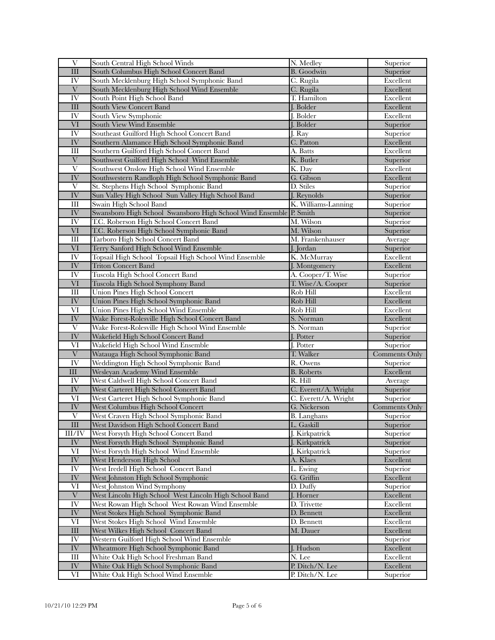| V                                     | South Central High School Winds                                             | N. Medley                          | Superior              |
|---------------------------------------|-----------------------------------------------------------------------------|------------------------------------|-----------------------|
| $\overline{\text{III}}$               | South Columbus High School Concert Band                                     | <b>B.</b> Goodwin                  | Superior              |
| IV                                    | South Mecklenburg High School Symphonic Band                                | C. Rugila                          | Excellent             |
| $\ensuremath{\text{V}}$               | South Mecklenburg High School Wind Ensemble                                 | C. Rugila                          | Excellent             |
| IV                                    | South Point High School Band                                                | T. Hamilton                        | Excellent             |
| III                                   | South View Concert Band                                                     | J. Bolder                          | Excellent             |
| IV                                    | South View Symphonic                                                        | I. Bolder                          | Excellent             |
| $\overline{\text{VI}}$                | South View Wind Ensemble                                                    | J. Bolder                          | Superior              |
| IV                                    | Southeast Guilford High School Concert Band                                 | J. Ray                             | Superior              |
| ${\rm IV}$                            | Southern Alamance High School Symphonic Band                                | C. Patton                          | Excellent             |
| Ш                                     | Southern Guilford High School Concert Band                                  | A. Batts                           | Excellent             |
| $\ensuremath{\text{V}}$               | Southwest Guilford High School Wind Ensemble                                | K. Butler                          | Superior              |
| $\overline{\mathrm{V}}$               | Southwest Onslow High School Wind Ensemble                                  | K. Day                             | Excellent             |
| IV                                    | Southwestern Randloph High School Symphonic Band                            | G. Gibson                          | Excellent             |
| V                                     | St. Stephens High School Symphonic Band                                     | D. Stiles                          | Superior              |
| IV                                    | Sun Valley High School Sun Valley High School Band                          | J. Reynolds                        | Superior              |
| $\mathop{\rm III}$                    | Swain High School Band                                                      | K. Williams-Lanning                | Superior              |
| IV                                    | Swansboro High School Swansboro High School Wind Ensemble P. Smith          |                                    | Superior              |
| IV                                    | T.C. Roberson High School Concert Band                                      | M. Wilson                          | Superior              |
| VI                                    | T.C. Roberson High School Symphonic Band                                    | M. Wilson                          | Superior              |
| Ш                                     | Tarboro High School Concert Band                                            | M. Frankenhauser                   | Average               |
| VI                                    | Terry Sanford High School Wind Ensemble                                     | J. Jordan                          | Superior              |
| IV                                    | Topsail High School Topsail High School Wind Ensemble                       | K. McMurray                        | Excellent             |
| IV                                    | <b>Triton Concert Band</b>                                                  | J. Montgomery                      | Excellent             |
| IV                                    | Tuscola High School Concert Band                                            | A. Cooper/T. Wise                  | Superior              |
| $\rm{VI}$                             | Tuscola High School Symphony Band                                           | T. Wise/A. Cooper                  | Superior              |
| $\mathop{\rm III}$                    | <b>Union Pines High School Concert</b>                                      | Rob Hill                           | Excellent             |
| IV                                    | Union Pines High School Symphonic Band                                      | Rob Hill                           | Excellent             |
| VI                                    | Union Pines High School Wind Ensemble                                       | Rob Hill                           | Excellent             |
| IV                                    | Wake Forest-Rolesville High School Concert Band                             | S. Norman                          | Excellent             |
| V                                     | Wake Forest-Rolesville High School Wind Ensemble                            | S. Norman                          | Superior              |
| IV                                    | Wakefield High School Concert Band                                          | J. Potter                          | Superior              |
| VI                                    | Wakefield High School Wind Ensemble                                         | J. Potter                          | Superior              |
| $\overline{\mathbf{V}}$               | Watauga High School Symphonic Band                                          | T. Walker                          | <b>Comments Only</b>  |
| IV                                    | Weddington High School Symphonic Band                                       | R. Owens                           | Superior              |
| $\rm III$                             | Wesleyan Academy Wind Ensemble                                              | <b>B.</b> Roberts                  | Excellent             |
| IV                                    | West Caldwell High School Concert Band                                      | R. Hill                            | Average               |
| IV                                    | West Carteret High School Concert Band                                      | C. Everett/A. Wright               | Superior              |
| VI                                    | West Carteret High School Symphonic Band                                    | C. Everett/A. Wright               | Superior              |
| IV                                    | <b>West Columbus High School Concert</b>                                    | G. Nickerson                       | <b>Comments Only</b>  |
| $\overline{\mathrm{V}}$               | West Craven High School Symphonic Band                                      | <b>B.</b> Langhans                 | Superior              |
| Ш                                     | West Davidson High School Concert Band                                      | L. Gaskill                         | Superior              |
| III/IV                                | West Forsyth High School Concert Band                                       | J. Kirkpatrick                     | Superior              |
| ${\rm IV}$                            |                                                                             |                                    |                       |
| $\overline{\text{VI}}$                | West Forsyth High School Symphonic Band                                     | J. Kirkpatrick                     | Superior              |
| IV                                    | West Forsyth High School Wind Ensemble                                      | J. Kirkpatrick                     | Superior              |
|                                       | West Henderson High School                                                  | A. Klaes                           | Excellent             |
| IV                                    | West Iredell High School Concert Band                                       | L. Ewing                           | Superior              |
| ${\rm IV}$                            | West Johnston High School Symphonic                                         | G. Griffin                         | Excellent             |
| $\overline{\text{VI}}$                | West Johnston Wind Symphony                                                 | D. Duffy                           | Superior              |
| $\overline{\mathbf{V}}$               | West Lincoln High School West Lincoln High School Band                      | J. Horner                          | Excellent             |
| $\overline{\rm IV}$                   | West Rowan High School West Rowan Wind Ensemble                             | D. Trivette                        | Excellent             |
| $\overline{\text{IV}}$                | West Stokes High School Symphonic Band                                      | D. Bennett                         | Excellent             |
| VI                                    | West Stokes High School Wind Ensemble                                       | D. Bennett                         | Excellent             |
| $\rm III$                             | West Wilkes High School Concert Band                                        | M. Dauer                           | Excellent             |
| IV <sub></sub>                        | Western Guilford High School Wind Ensemble                                  |                                    | Superior              |
| ${\rm IV}$                            | Wheatmore High School Symphonic Band                                        | J. Hudson                          | Excellent             |
| $\overline{\rm III}$                  | White Oak High School Freshman Band                                         | N. Lee                             | Excellent             |
| $\overline{\text{IV}}$<br>$\mbox{VI}$ | White Oak High School Symphonic Band<br>White Oak High School Wind Ensemble | P. Ditch/N. Lee<br>P. Ditch/N. Lee | Excellent<br>Superior |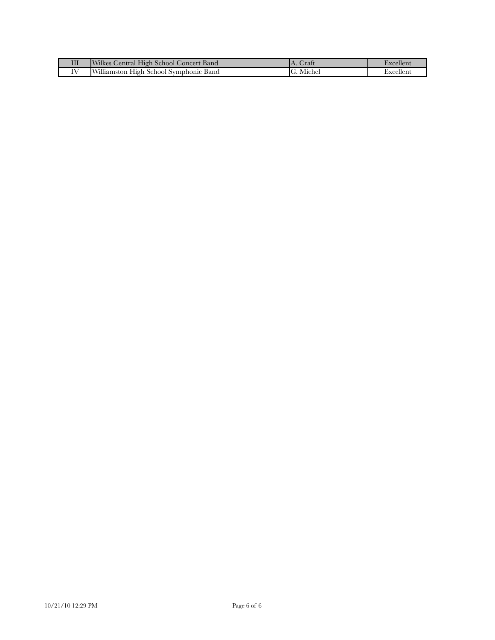| Ш | Wilkes Central High School Concert Band | Crat      | Exceller  |
|---|-----------------------------------------|-----------|-----------|
|   | Williamston High School Symphonic Band  | G. Michel | Excellen. |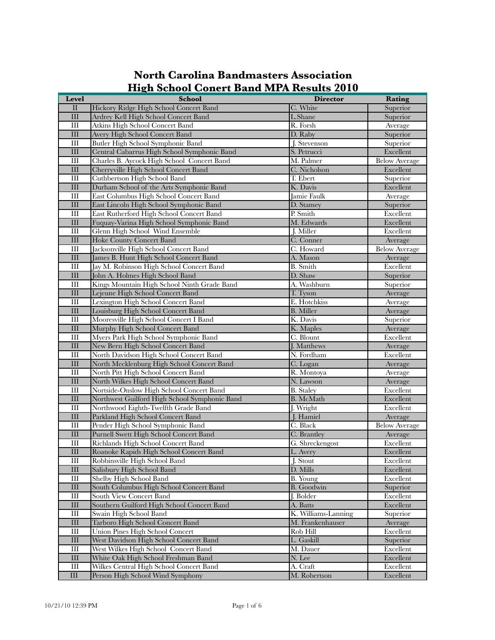| $\mathbf{I}$<br>Hickory Ridge High School Concert Band<br>C. White<br>Superior<br>$\mathop{\rm III}$<br>L.Shane<br>Superior<br>Ardrey Kell High School Concert Band<br>Atkins High School Concert Band<br>R. Forsh<br>Ш<br>Average<br>III<br><b>Avery High School Concert Band</b><br>D. Raby<br>Superior<br>$\mathop{\rm III}$<br>Butler High School Symphonic Band<br>J. Stevenson<br>Superior<br>$\rm III$<br>Excellent<br>Central Cabarrus High School Symphonic Band<br>S. Petrucci<br>M. Palmer<br>Ш<br>Charles B. Aycock High School Concert Band<br><b>Below Average</b><br>$\mathop{\rm III}$<br>C. Nicholson<br>Cherryville High School Concert Band<br>Excellent<br>$\mathop{\rm III}$<br>Cuthbertson High School Band<br>T. Ebert<br>Superior<br>$\mathop{\rm III}$<br>Durham School of the Arts Symphonic Band<br>K. Davis<br>Excellent<br>Ш<br>East Columbus High School Concert Band<br>Jamie Faulk<br>Average<br>$\mathop{\rm III}$<br>East Lincoln High School Symphonic Band<br>D. Stamey<br>Superior<br>$\mathop{\rm III}$<br>P. Smith<br>Excellent<br>East Rutherford High School Concert Band<br>$\rm III$<br>M. Edwards<br>Excellent<br>Fuquay-Varina High School Symphonic Band<br>$\mathop{\rm III}$<br>Glenn High School Wind Ensemble<br>J. Miller<br>Excellent<br>$\mathop{\rm III}$<br><b>Hoke County Concert Band</b><br>C. Conner<br>Average<br>$\mathop{\rm III}$<br>Jacksonville High School Concert Band<br>C. Howard<br><b>Below Average</b><br>$\mathop{\rm III}$<br>James B. Hunt High School Concert Band<br>A. Mason<br>Average<br>$\mathop{\rm III}$<br><b>B.</b> Smith<br>Jay M. Robinson High School Concert Band<br>Excellent<br>$\mathop{\rm III}$<br>John A. Holmes High School Band<br>D. Shaw<br>Superior<br>A. Washburn<br>Ш<br>Kings Mountain High School Ninth Grade Band<br>Superior<br>$\mathop{\rm III}$<br>T. Tyson<br>Lejeune High School Concert Band<br>Average<br>$\mathop{\rm III}$<br>Lexington High School Concert Band<br>E. Hotchkiss<br>Average<br>$\mathop{\rm III}$<br><b>B.</b> Miller<br>Louisburg High School Concert Band<br>Average<br>K. Davis<br>III<br>Mooresville High School Concert I Band<br>Superior<br>$\mathop{\rm III}$<br>Murphy High School Concert Band<br>K. Maples<br>Average<br>III<br>C. Blount<br>Excellent<br>Myers Park High School Symphonic Band<br>$\mathop{\rm III}$<br>New Bern High School Concert Band<br>J. Matthews<br>Average<br>North Davidson High School Concert Band<br>N. Fordham<br>Excellent<br>Ш<br>$\mathop{\rm III}$<br>North Mecklenburg High School Concert Band<br>C. Logan<br>Average<br>$\mathop{\rm III}$<br>North Pitt High School Concert Band<br>R. Montoya<br>Average<br>III<br>North Wilkes High School Concert Band<br>N. Lawson<br>Average<br>Nortside-Onslow High School Concert Band<br>Ш<br><b>B.</b> Staley<br>Excellent<br>$\rm III$<br>Excellent<br>Northwest Guilford High School Symphonic Band<br><b>B.</b> McMath<br>Excellent<br>Northwood Eighth-Twelfth Grade Band<br>J. Wright<br>Ш<br>$\mathop{\rm III}$<br>Parkland High School Concert Band<br>J. Hamiel<br>Average<br>$\mathop{\rm III}$<br>Pender High School Symphonic Band<br>C. Black<br><b>Below Average</b><br>III<br>C. Brantley<br>Purnell Swett High School Concert Band<br>Average<br>$\mathop{\rm III}$<br>Excellent<br>Richlands High School Concert Band<br>G. Shreckengost<br>III<br>Roanoke Rapids High School Concert Band<br>L. Avery<br>Excellent<br>$\rm III$<br>Robbinsville High School Band<br>J. Stout<br>Excellent<br>$\rm III$<br>Salisbury High School Band<br>D. Mills<br>Excellent<br>$\mathop{\rm III}$<br>Shelby High School Band<br>B. Young<br>Excellent<br>$\overline{\text{III}}$<br>South Columbus High School Concert Band<br>B. Goodwin<br>Superior<br>$\mathop{\rm III}$<br>South View Concert Band<br>J. Bolder<br>Excellent<br>$\rm III$<br>Southern Guilford High School Concert Band<br>A. Batts<br>Excellent<br>$\overline{III}$<br>Swain High School Band<br>K. Williams-Lanning<br>Superior<br>$\mathop{\rm III}$<br>Tarboro High School Concert Band<br>M. Frankenhauser<br>Average<br><b>Union Pines High School Concert</b><br>$\mathop{\rm III}$<br>Rob Hill<br>Excellent<br>West Davidson High School Concert Band<br>III<br>L. Gaskill<br>Superior<br>$\mathop{\rm III}$<br>West Wilkes High School Concert Band<br>M. Dauer<br>Excellent<br>$\rm III$<br>Excellent<br>White Oak High School Freshman Band<br>N. Lee<br>$\mathop{\rm III}$<br>Wilkes Central High School Concert Band<br>Excellent<br>A. Craft | Level     | <b>School</b>                    | <b>Director</b> | Rating    |
|-----------------------------------------------------------------------------------------------------------------------------------------------------------------------------------------------------------------------------------------------------------------------------------------------------------------------------------------------------------------------------------------------------------------------------------------------------------------------------------------------------------------------------------------------------------------------------------------------------------------------------------------------------------------------------------------------------------------------------------------------------------------------------------------------------------------------------------------------------------------------------------------------------------------------------------------------------------------------------------------------------------------------------------------------------------------------------------------------------------------------------------------------------------------------------------------------------------------------------------------------------------------------------------------------------------------------------------------------------------------------------------------------------------------------------------------------------------------------------------------------------------------------------------------------------------------------------------------------------------------------------------------------------------------------------------------------------------------------------------------------------------------------------------------------------------------------------------------------------------------------------------------------------------------------------------------------------------------------------------------------------------------------------------------------------------------------------------------------------------------------------------------------------------------------------------------------------------------------------------------------------------------------------------------------------------------------------------------------------------------------------------------------------------------------------------------------------------------------------------------------------------------------------------------------------------------------------------------------------------------------------------------------------------------------------------------------------------------------------------------------------------------------------------------------------------------------------------------------------------------------------------------------------------------------------------------------------------------------------------------------------------------------------------------------------------------------------------------------------------------------------------------------------------------------------------------------------------------------------------------------------------------------------------------------------------------------------------------------------------------------------------------------------------------------------------------------------------------------------------------------------------------------------------------------------------------------------------------------------------------------------------------------------------------------------------------------------------------------------------------------------------------------------------------------------------------------------------------------------------------------------------------------------------------------------------------------------------------------------------------------------------------------------------------------------------------------------------------------------------------------------------------------------------------------------------------------------------------------------------------------------------------------------------------------------------------------------------------------------------------------------------------------------------------------------------------------------------------------------------------------------------------------------------------------------------------|-----------|----------------------------------|-----------------|-----------|
|                                                                                                                                                                                                                                                                                                                                                                                                                                                                                                                                                                                                                                                                                                                                                                                                                                                                                                                                                                                                                                                                                                                                                                                                                                                                                                                                                                                                                                                                                                                                                                                                                                                                                                                                                                                                                                                                                                                                                                                                                                                                                                                                                                                                                                                                                                                                                                                                                                                                                                                                                                                                                                                                                                                                                                                                                                                                                                                                                                                                                                                                                                                                                                                                                                                                                                                                                                                                                                                                                                                                                                                                                                                                                                                                                                                                                                                                                                                                                                                                                                                                                                                                                                                                                                                                                                                                                                                                                                                                                                                                                                 |           |                                  |                 |           |
|                                                                                                                                                                                                                                                                                                                                                                                                                                                                                                                                                                                                                                                                                                                                                                                                                                                                                                                                                                                                                                                                                                                                                                                                                                                                                                                                                                                                                                                                                                                                                                                                                                                                                                                                                                                                                                                                                                                                                                                                                                                                                                                                                                                                                                                                                                                                                                                                                                                                                                                                                                                                                                                                                                                                                                                                                                                                                                                                                                                                                                                                                                                                                                                                                                                                                                                                                                                                                                                                                                                                                                                                                                                                                                                                                                                                                                                                                                                                                                                                                                                                                                                                                                                                                                                                                                                                                                                                                                                                                                                                                                 |           |                                  |                 |           |
|                                                                                                                                                                                                                                                                                                                                                                                                                                                                                                                                                                                                                                                                                                                                                                                                                                                                                                                                                                                                                                                                                                                                                                                                                                                                                                                                                                                                                                                                                                                                                                                                                                                                                                                                                                                                                                                                                                                                                                                                                                                                                                                                                                                                                                                                                                                                                                                                                                                                                                                                                                                                                                                                                                                                                                                                                                                                                                                                                                                                                                                                                                                                                                                                                                                                                                                                                                                                                                                                                                                                                                                                                                                                                                                                                                                                                                                                                                                                                                                                                                                                                                                                                                                                                                                                                                                                                                                                                                                                                                                                                                 |           |                                  |                 |           |
|                                                                                                                                                                                                                                                                                                                                                                                                                                                                                                                                                                                                                                                                                                                                                                                                                                                                                                                                                                                                                                                                                                                                                                                                                                                                                                                                                                                                                                                                                                                                                                                                                                                                                                                                                                                                                                                                                                                                                                                                                                                                                                                                                                                                                                                                                                                                                                                                                                                                                                                                                                                                                                                                                                                                                                                                                                                                                                                                                                                                                                                                                                                                                                                                                                                                                                                                                                                                                                                                                                                                                                                                                                                                                                                                                                                                                                                                                                                                                                                                                                                                                                                                                                                                                                                                                                                                                                                                                                                                                                                                                                 |           |                                  |                 |           |
|                                                                                                                                                                                                                                                                                                                                                                                                                                                                                                                                                                                                                                                                                                                                                                                                                                                                                                                                                                                                                                                                                                                                                                                                                                                                                                                                                                                                                                                                                                                                                                                                                                                                                                                                                                                                                                                                                                                                                                                                                                                                                                                                                                                                                                                                                                                                                                                                                                                                                                                                                                                                                                                                                                                                                                                                                                                                                                                                                                                                                                                                                                                                                                                                                                                                                                                                                                                                                                                                                                                                                                                                                                                                                                                                                                                                                                                                                                                                                                                                                                                                                                                                                                                                                                                                                                                                                                                                                                                                                                                                                                 |           |                                  |                 |           |
|                                                                                                                                                                                                                                                                                                                                                                                                                                                                                                                                                                                                                                                                                                                                                                                                                                                                                                                                                                                                                                                                                                                                                                                                                                                                                                                                                                                                                                                                                                                                                                                                                                                                                                                                                                                                                                                                                                                                                                                                                                                                                                                                                                                                                                                                                                                                                                                                                                                                                                                                                                                                                                                                                                                                                                                                                                                                                                                                                                                                                                                                                                                                                                                                                                                                                                                                                                                                                                                                                                                                                                                                                                                                                                                                                                                                                                                                                                                                                                                                                                                                                                                                                                                                                                                                                                                                                                                                                                                                                                                                                                 |           |                                  |                 |           |
|                                                                                                                                                                                                                                                                                                                                                                                                                                                                                                                                                                                                                                                                                                                                                                                                                                                                                                                                                                                                                                                                                                                                                                                                                                                                                                                                                                                                                                                                                                                                                                                                                                                                                                                                                                                                                                                                                                                                                                                                                                                                                                                                                                                                                                                                                                                                                                                                                                                                                                                                                                                                                                                                                                                                                                                                                                                                                                                                                                                                                                                                                                                                                                                                                                                                                                                                                                                                                                                                                                                                                                                                                                                                                                                                                                                                                                                                                                                                                                                                                                                                                                                                                                                                                                                                                                                                                                                                                                                                                                                                                                 |           |                                  |                 |           |
|                                                                                                                                                                                                                                                                                                                                                                                                                                                                                                                                                                                                                                                                                                                                                                                                                                                                                                                                                                                                                                                                                                                                                                                                                                                                                                                                                                                                                                                                                                                                                                                                                                                                                                                                                                                                                                                                                                                                                                                                                                                                                                                                                                                                                                                                                                                                                                                                                                                                                                                                                                                                                                                                                                                                                                                                                                                                                                                                                                                                                                                                                                                                                                                                                                                                                                                                                                                                                                                                                                                                                                                                                                                                                                                                                                                                                                                                                                                                                                                                                                                                                                                                                                                                                                                                                                                                                                                                                                                                                                                                                                 |           |                                  |                 |           |
|                                                                                                                                                                                                                                                                                                                                                                                                                                                                                                                                                                                                                                                                                                                                                                                                                                                                                                                                                                                                                                                                                                                                                                                                                                                                                                                                                                                                                                                                                                                                                                                                                                                                                                                                                                                                                                                                                                                                                                                                                                                                                                                                                                                                                                                                                                                                                                                                                                                                                                                                                                                                                                                                                                                                                                                                                                                                                                                                                                                                                                                                                                                                                                                                                                                                                                                                                                                                                                                                                                                                                                                                                                                                                                                                                                                                                                                                                                                                                                                                                                                                                                                                                                                                                                                                                                                                                                                                                                                                                                                                                                 |           |                                  |                 |           |
|                                                                                                                                                                                                                                                                                                                                                                                                                                                                                                                                                                                                                                                                                                                                                                                                                                                                                                                                                                                                                                                                                                                                                                                                                                                                                                                                                                                                                                                                                                                                                                                                                                                                                                                                                                                                                                                                                                                                                                                                                                                                                                                                                                                                                                                                                                                                                                                                                                                                                                                                                                                                                                                                                                                                                                                                                                                                                                                                                                                                                                                                                                                                                                                                                                                                                                                                                                                                                                                                                                                                                                                                                                                                                                                                                                                                                                                                                                                                                                                                                                                                                                                                                                                                                                                                                                                                                                                                                                                                                                                                                                 |           |                                  |                 |           |
|                                                                                                                                                                                                                                                                                                                                                                                                                                                                                                                                                                                                                                                                                                                                                                                                                                                                                                                                                                                                                                                                                                                                                                                                                                                                                                                                                                                                                                                                                                                                                                                                                                                                                                                                                                                                                                                                                                                                                                                                                                                                                                                                                                                                                                                                                                                                                                                                                                                                                                                                                                                                                                                                                                                                                                                                                                                                                                                                                                                                                                                                                                                                                                                                                                                                                                                                                                                                                                                                                                                                                                                                                                                                                                                                                                                                                                                                                                                                                                                                                                                                                                                                                                                                                                                                                                                                                                                                                                                                                                                                                                 |           |                                  |                 |           |
|                                                                                                                                                                                                                                                                                                                                                                                                                                                                                                                                                                                                                                                                                                                                                                                                                                                                                                                                                                                                                                                                                                                                                                                                                                                                                                                                                                                                                                                                                                                                                                                                                                                                                                                                                                                                                                                                                                                                                                                                                                                                                                                                                                                                                                                                                                                                                                                                                                                                                                                                                                                                                                                                                                                                                                                                                                                                                                                                                                                                                                                                                                                                                                                                                                                                                                                                                                                                                                                                                                                                                                                                                                                                                                                                                                                                                                                                                                                                                                                                                                                                                                                                                                                                                                                                                                                                                                                                                                                                                                                                                                 |           |                                  |                 |           |
|                                                                                                                                                                                                                                                                                                                                                                                                                                                                                                                                                                                                                                                                                                                                                                                                                                                                                                                                                                                                                                                                                                                                                                                                                                                                                                                                                                                                                                                                                                                                                                                                                                                                                                                                                                                                                                                                                                                                                                                                                                                                                                                                                                                                                                                                                                                                                                                                                                                                                                                                                                                                                                                                                                                                                                                                                                                                                                                                                                                                                                                                                                                                                                                                                                                                                                                                                                                                                                                                                                                                                                                                                                                                                                                                                                                                                                                                                                                                                                                                                                                                                                                                                                                                                                                                                                                                                                                                                                                                                                                                                                 |           |                                  |                 |           |
|                                                                                                                                                                                                                                                                                                                                                                                                                                                                                                                                                                                                                                                                                                                                                                                                                                                                                                                                                                                                                                                                                                                                                                                                                                                                                                                                                                                                                                                                                                                                                                                                                                                                                                                                                                                                                                                                                                                                                                                                                                                                                                                                                                                                                                                                                                                                                                                                                                                                                                                                                                                                                                                                                                                                                                                                                                                                                                                                                                                                                                                                                                                                                                                                                                                                                                                                                                                                                                                                                                                                                                                                                                                                                                                                                                                                                                                                                                                                                                                                                                                                                                                                                                                                                                                                                                                                                                                                                                                                                                                                                                 |           |                                  |                 |           |
|                                                                                                                                                                                                                                                                                                                                                                                                                                                                                                                                                                                                                                                                                                                                                                                                                                                                                                                                                                                                                                                                                                                                                                                                                                                                                                                                                                                                                                                                                                                                                                                                                                                                                                                                                                                                                                                                                                                                                                                                                                                                                                                                                                                                                                                                                                                                                                                                                                                                                                                                                                                                                                                                                                                                                                                                                                                                                                                                                                                                                                                                                                                                                                                                                                                                                                                                                                                                                                                                                                                                                                                                                                                                                                                                                                                                                                                                                                                                                                                                                                                                                                                                                                                                                                                                                                                                                                                                                                                                                                                                                                 |           |                                  |                 |           |
|                                                                                                                                                                                                                                                                                                                                                                                                                                                                                                                                                                                                                                                                                                                                                                                                                                                                                                                                                                                                                                                                                                                                                                                                                                                                                                                                                                                                                                                                                                                                                                                                                                                                                                                                                                                                                                                                                                                                                                                                                                                                                                                                                                                                                                                                                                                                                                                                                                                                                                                                                                                                                                                                                                                                                                                                                                                                                                                                                                                                                                                                                                                                                                                                                                                                                                                                                                                                                                                                                                                                                                                                                                                                                                                                                                                                                                                                                                                                                                                                                                                                                                                                                                                                                                                                                                                                                                                                                                                                                                                                                                 |           |                                  |                 |           |
|                                                                                                                                                                                                                                                                                                                                                                                                                                                                                                                                                                                                                                                                                                                                                                                                                                                                                                                                                                                                                                                                                                                                                                                                                                                                                                                                                                                                                                                                                                                                                                                                                                                                                                                                                                                                                                                                                                                                                                                                                                                                                                                                                                                                                                                                                                                                                                                                                                                                                                                                                                                                                                                                                                                                                                                                                                                                                                                                                                                                                                                                                                                                                                                                                                                                                                                                                                                                                                                                                                                                                                                                                                                                                                                                                                                                                                                                                                                                                                                                                                                                                                                                                                                                                                                                                                                                                                                                                                                                                                                                                                 |           |                                  |                 |           |
|                                                                                                                                                                                                                                                                                                                                                                                                                                                                                                                                                                                                                                                                                                                                                                                                                                                                                                                                                                                                                                                                                                                                                                                                                                                                                                                                                                                                                                                                                                                                                                                                                                                                                                                                                                                                                                                                                                                                                                                                                                                                                                                                                                                                                                                                                                                                                                                                                                                                                                                                                                                                                                                                                                                                                                                                                                                                                                                                                                                                                                                                                                                                                                                                                                                                                                                                                                                                                                                                                                                                                                                                                                                                                                                                                                                                                                                                                                                                                                                                                                                                                                                                                                                                                                                                                                                                                                                                                                                                                                                                                                 |           |                                  |                 |           |
|                                                                                                                                                                                                                                                                                                                                                                                                                                                                                                                                                                                                                                                                                                                                                                                                                                                                                                                                                                                                                                                                                                                                                                                                                                                                                                                                                                                                                                                                                                                                                                                                                                                                                                                                                                                                                                                                                                                                                                                                                                                                                                                                                                                                                                                                                                                                                                                                                                                                                                                                                                                                                                                                                                                                                                                                                                                                                                                                                                                                                                                                                                                                                                                                                                                                                                                                                                                                                                                                                                                                                                                                                                                                                                                                                                                                                                                                                                                                                                                                                                                                                                                                                                                                                                                                                                                                                                                                                                                                                                                                                                 |           |                                  |                 |           |
|                                                                                                                                                                                                                                                                                                                                                                                                                                                                                                                                                                                                                                                                                                                                                                                                                                                                                                                                                                                                                                                                                                                                                                                                                                                                                                                                                                                                                                                                                                                                                                                                                                                                                                                                                                                                                                                                                                                                                                                                                                                                                                                                                                                                                                                                                                                                                                                                                                                                                                                                                                                                                                                                                                                                                                                                                                                                                                                                                                                                                                                                                                                                                                                                                                                                                                                                                                                                                                                                                                                                                                                                                                                                                                                                                                                                                                                                                                                                                                                                                                                                                                                                                                                                                                                                                                                                                                                                                                                                                                                                                                 |           |                                  |                 |           |
|                                                                                                                                                                                                                                                                                                                                                                                                                                                                                                                                                                                                                                                                                                                                                                                                                                                                                                                                                                                                                                                                                                                                                                                                                                                                                                                                                                                                                                                                                                                                                                                                                                                                                                                                                                                                                                                                                                                                                                                                                                                                                                                                                                                                                                                                                                                                                                                                                                                                                                                                                                                                                                                                                                                                                                                                                                                                                                                                                                                                                                                                                                                                                                                                                                                                                                                                                                                                                                                                                                                                                                                                                                                                                                                                                                                                                                                                                                                                                                                                                                                                                                                                                                                                                                                                                                                                                                                                                                                                                                                                                                 |           |                                  |                 |           |
|                                                                                                                                                                                                                                                                                                                                                                                                                                                                                                                                                                                                                                                                                                                                                                                                                                                                                                                                                                                                                                                                                                                                                                                                                                                                                                                                                                                                                                                                                                                                                                                                                                                                                                                                                                                                                                                                                                                                                                                                                                                                                                                                                                                                                                                                                                                                                                                                                                                                                                                                                                                                                                                                                                                                                                                                                                                                                                                                                                                                                                                                                                                                                                                                                                                                                                                                                                                                                                                                                                                                                                                                                                                                                                                                                                                                                                                                                                                                                                                                                                                                                                                                                                                                                                                                                                                                                                                                                                                                                                                                                                 |           |                                  |                 |           |
|                                                                                                                                                                                                                                                                                                                                                                                                                                                                                                                                                                                                                                                                                                                                                                                                                                                                                                                                                                                                                                                                                                                                                                                                                                                                                                                                                                                                                                                                                                                                                                                                                                                                                                                                                                                                                                                                                                                                                                                                                                                                                                                                                                                                                                                                                                                                                                                                                                                                                                                                                                                                                                                                                                                                                                                                                                                                                                                                                                                                                                                                                                                                                                                                                                                                                                                                                                                                                                                                                                                                                                                                                                                                                                                                                                                                                                                                                                                                                                                                                                                                                                                                                                                                                                                                                                                                                                                                                                                                                                                                                                 |           |                                  |                 |           |
|                                                                                                                                                                                                                                                                                                                                                                                                                                                                                                                                                                                                                                                                                                                                                                                                                                                                                                                                                                                                                                                                                                                                                                                                                                                                                                                                                                                                                                                                                                                                                                                                                                                                                                                                                                                                                                                                                                                                                                                                                                                                                                                                                                                                                                                                                                                                                                                                                                                                                                                                                                                                                                                                                                                                                                                                                                                                                                                                                                                                                                                                                                                                                                                                                                                                                                                                                                                                                                                                                                                                                                                                                                                                                                                                                                                                                                                                                                                                                                                                                                                                                                                                                                                                                                                                                                                                                                                                                                                                                                                                                                 |           |                                  |                 |           |
|                                                                                                                                                                                                                                                                                                                                                                                                                                                                                                                                                                                                                                                                                                                                                                                                                                                                                                                                                                                                                                                                                                                                                                                                                                                                                                                                                                                                                                                                                                                                                                                                                                                                                                                                                                                                                                                                                                                                                                                                                                                                                                                                                                                                                                                                                                                                                                                                                                                                                                                                                                                                                                                                                                                                                                                                                                                                                                                                                                                                                                                                                                                                                                                                                                                                                                                                                                                                                                                                                                                                                                                                                                                                                                                                                                                                                                                                                                                                                                                                                                                                                                                                                                                                                                                                                                                                                                                                                                                                                                                                                                 |           |                                  |                 |           |
|                                                                                                                                                                                                                                                                                                                                                                                                                                                                                                                                                                                                                                                                                                                                                                                                                                                                                                                                                                                                                                                                                                                                                                                                                                                                                                                                                                                                                                                                                                                                                                                                                                                                                                                                                                                                                                                                                                                                                                                                                                                                                                                                                                                                                                                                                                                                                                                                                                                                                                                                                                                                                                                                                                                                                                                                                                                                                                                                                                                                                                                                                                                                                                                                                                                                                                                                                                                                                                                                                                                                                                                                                                                                                                                                                                                                                                                                                                                                                                                                                                                                                                                                                                                                                                                                                                                                                                                                                                                                                                                                                                 |           |                                  |                 |           |
|                                                                                                                                                                                                                                                                                                                                                                                                                                                                                                                                                                                                                                                                                                                                                                                                                                                                                                                                                                                                                                                                                                                                                                                                                                                                                                                                                                                                                                                                                                                                                                                                                                                                                                                                                                                                                                                                                                                                                                                                                                                                                                                                                                                                                                                                                                                                                                                                                                                                                                                                                                                                                                                                                                                                                                                                                                                                                                                                                                                                                                                                                                                                                                                                                                                                                                                                                                                                                                                                                                                                                                                                                                                                                                                                                                                                                                                                                                                                                                                                                                                                                                                                                                                                                                                                                                                                                                                                                                                                                                                                                                 |           |                                  |                 |           |
|                                                                                                                                                                                                                                                                                                                                                                                                                                                                                                                                                                                                                                                                                                                                                                                                                                                                                                                                                                                                                                                                                                                                                                                                                                                                                                                                                                                                                                                                                                                                                                                                                                                                                                                                                                                                                                                                                                                                                                                                                                                                                                                                                                                                                                                                                                                                                                                                                                                                                                                                                                                                                                                                                                                                                                                                                                                                                                                                                                                                                                                                                                                                                                                                                                                                                                                                                                                                                                                                                                                                                                                                                                                                                                                                                                                                                                                                                                                                                                                                                                                                                                                                                                                                                                                                                                                                                                                                                                                                                                                                                                 |           |                                  |                 |           |
|                                                                                                                                                                                                                                                                                                                                                                                                                                                                                                                                                                                                                                                                                                                                                                                                                                                                                                                                                                                                                                                                                                                                                                                                                                                                                                                                                                                                                                                                                                                                                                                                                                                                                                                                                                                                                                                                                                                                                                                                                                                                                                                                                                                                                                                                                                                                                                                                                                                                                                                                                                                                                                                                                                                                                                                                                                                                                                                                                                                                                                                                                                                                                                                                                                                                                                                                                                                                                                                                                                                                                                                                                                                                                                                                                                                                                                                                                                                                                                                                                                                                                                                                                                                                                                                                                                                                                                                                                                                                                                                                                                 |           |                                  |                 |           |
|                                                                                                                                                                                                                                                                                                                                                                                                                                                                                                                                                                                                                                                                                                                                                                                                                                                                                                                                                                                                                                                                                                                                                                                                                                                                                                                                                                                                                                                                                                                                                                                                                                                                                                                                                                                                                                                                                                                                                                                                                                                                                                                                                                                                                                                                                                                                                                                                                                                                                                                                                                                                                                                                                                                                                                                                                                                                                                                                                                                                                                                                                                                                                                                                                                                                                                                                                                                                                                                                                                                                                                                                                                                                                                                                                                                                                                                                                                                                                                                                                                                                                                                                                                                                                                                                                                                                                                                                                                                                                                                                                                 |           |                                  |                 |           |
|                                                                                                                                                                                                                                                                                                                                                                                                                                                                                                                                                                                                                                                                                                                                                                                                                                                                                                                                                                                                                                                                                                                                                                                                                                                                                                                                                                                                                                                                                                                                                                                                                                                                                                                                                                                                                                                                                                                                                                                                                                                                                                                                                                                                                                                                                                                                                                                                                                                                                                                                                                                                                                                                                                                                                                                                                                                                                                                                                                                                                                                                                                                                                                                                                                                                                                                                                                                                                                                                                                                                                                                                                                                                                                                                                                                                                                                                                                                                                                                                                                                                                                                                                                                                                                                                                                                                                                                                                                                                                                                                                                 |           |                                  |                 |           |
|                                                                                                                                                                                                                                                                                                                                                                                                                                                                                                                                                                                                                                                                                                                                                                                                                                                                                                                                                                                                                                                                                                                                                                                                                                                                                                                                                                                                                                                                                                                                                                                                                                                                                                                                                                                                                                                                                                                                                                                                                                                                                                                                                                                                                                                                                                                                                                                                                                                                                                                                                                                                                                                                                                                                                                                                                                                                                                                                                                                                                                                                                                                                                                                                                                                                                                                                                                                                                                                                                                                                                                                                                                                                                                                                                                                                                                                                                                                                                                                                                                                                                                                                                                                                                                                                                                                                                                                                                                                                                                                                                                 |           |                                  |                 |           |
|                                                                                                                                                                                                                                                                                                                                                                                                                                                                                                                                                                                                                                                                                                                                                                                                                                                                                                                                                                                                                                                                                                                                                                                                                                                                                                                                                                                                                                                                                                                                                                                                                                                                                                                                                                                                                                                                                                                                                                                                                                                                                                                                                                                                                                                                                                                                                                                                                                                                                                                                                                                                                                                                                                                                                                                                                                                                                                                                                                                                                                                                                                                                                                                                                                                                                                                                                                                                                                                                                                                                                                                                                                                                                                                                                                                                                                                                                                                                                                                                                                                                                                                                                                                                                                                                                                                                                                                                                                                                                                                                                                 |           |                                  |                 |           |
|                                                                                                                                                                                                                                                                                                                                                                                                                                                                                                                                                                                                                                                                                                                                                                                                                                                                                                                                                                                                                                                                                                                                                                                                                                                                                                                                                                                                                                                                                                                                                                                                                                                                                                                                                                                                                                                                                                                                                                                                                                                                                                                                                                                                                                                                                                                                                                                                                                                                                                                                                                                                                                                                                                                                                                                                                                                                                                                                                                                                                                                                                                                                                                                                                                                                                                                                                                                                                                                                                                                                                                                                                                                                                                                                                                                                                                                                                                                                                                                                                                                                                                                                                                                                                                                                                                                                                                                                                                                                                                                                                                 |           |                                  |                 |           |
|                                                                                                                                                                                                                                                                                                                                                                                                                                                                                                                                                                                                                                                                                                                                                                                                                                                                                                                                                                                                                                                                                                                                                                                                                                                                                                                                                                                                                                                                                                                                                                                                                                                                                                                                                                                                                                                                                                                                                                                                                                                                                                                                                                                                                                                                                                                                                                                                                                                                                                                                                                                                                                                                                                                                                                                                                                                                                                                                                                                                                                                                                                                                                                                                                                                                                                                                                                                                                                                                                                                                                                                                                                                                                                                                                                                                                                                                                                                                                                                                                                                                                                                                                                                                                                                                                                                                                                                                                                                                                                                                                                 |           |                                  |                 |           |
|                                                                                                                                                                                                                                                                                                                                                                                                                                                                                                                                                                                                                                                                                                                                                                                                                                                                                                                                                                                                                                                                                                                                                                                                                                                                                                                                                                                                                                                                                                                                                                                                                                                                                                                                                                                                                                                                                                                                                                                                                                                                                                                                                                                                                                                                                                                                                                                                                                                                                                                                                                                                                                                                                                                                                                                                                                                                                                                                                                                                                                                                                                                                                                                                                                                                                                                                                                                                                                                                                                                                                                                                                                                                                                                                                                                                                                                                                                                                                                                                                                                                                                                                                                                                                                                                                                                                                                                                                                                                                                                                                                 |           |                                  |                 |           |
|                                                                                                                                                                                                                                                                                                                                                                                                                                                                                                                                                                                                                                                                                                                                                                                                                                                                                                                                                                                                                                                                                                                                                                                                                                                                                                                                                                                                                                                                                                                                                                                                                                                                                                                                                                                                                                                                                                                                                                                                                                                                                                                                                                                                                                                                                                                                                                                                                                                                                                                                                                                                                                                                                                                                                                                                                                                                                                                                                                                                                                                                                                                                                                                                                                                                                                                                                                                                                                                                                                                                                                                                                                                                                                                                                                                                                                                                                                                                                                                                                                                                                                                                                                                                                                                                                                                                                                                                                                                                                                                                                                 |           |                                  |                 |           |
|                                                                                                                                                                                                                                                                                                                                                                                                                                                                                                                                                                                                                                                                                                                                                                                                                                                                                                                                                                                                                                                                                                                                                                                                                                                                                                                                                                                                                                                                                                                                                                                                                                                                                                                                                                                                                                                                                                                                                                                                                                                                                                                                                                                                                                                                                                                                                                                                                                                                                                                                                                                                                                                                                                                                                                                                                                                                                                                                                                                                                                                                                                                                                                                                                                                                                                                                                                                                                                                                                                                                                                                                                                                                                                                                                                                                                                                                                                                                                                                                                                                                                                                                                                                                                                                                                                                                                                                                                                                                                                                                                                 |           |                                  |                 |           |
|                                                                                                                                                                                                                                                                                                                                                                                                                                                                                                                                                                                                                                                                                                                                                                                                                                                                                                                                                                                                                                                                                                                                                                                                                                                                                                                                                                                                                                                                                                                                                                                                                                                                                                                                                                                                                                                                                                                                                                                                                                                                                                                                                                                                                                                                                                                                                                                                                                                                                                                                                                                                                                                                                                                                                                                                                                                                                                                                                                                                                                                                                                                                                                                                                                                                                                                                                                                                                                                                                                                                                                                                                                                                                                                                                                                                                                                                                                                                                                                                                                                                                                                                                                                                                                                                                                                                                                                                                                                                                                                                                                 |           |                                  |                 |           |
|                                                                                                                                                                                                                                                                                                                                                                                                                                                                                                                                                                                                                                                                                                                                                                                                                                                                                                                                                                                                                                                                                                                                                                                                                                                                                                                                                                                                                                                                                                                                                                                                                                                                                                                                                                                                                                                                                                                                                                                                                                                                                                                                                                                                                                                                                                                                                                                                                                                                                                                                                                                                                                                                                                                                                                                                                                                                                                                                                                                                                                                                                                                                                                                                                                                                                                                                                                                                                                                                                                                                                                                                                                                                                                                                                                                                                                                                                                                                                                                                                                                                                                                                                                                                                                                                                                                                                                                                                                                                                                                                                                 |           |                                  |                 |           |
|                                                                                                                                                                                                                                                                                                                                                                                                                                                                                                                                                                                                                                                                                                                                                                                                                                                                                                                                                                                                                                                                                                                                                                                                                                                                                                                                                                                                                                                                                                                                                                                                                                                                                                                                                                                                                                                                                                                                                                                                                                                                                                                                                                                                                                                                                                                                                                                                                                                                                                                                                                                                                                                                                                                                                                                                                                                                                                                                                                                                                                                                                                                                                                                                                                                                                                                                                                                                                                                                                                                                                                                                                                                                                                                                                                                                                                                                                                                                                                                                                                                                                                                                                                                                                                                                                                                                                                                                                                                                                                                                                                 |           |                                  |                 |           |
|                                                                                                                                                                                                                                                                                                                                                                                                                                                                                                                                                                                                                                                                                                                                                                                                                                                                                                                                                                                                                                                                                                                                                                                                                                                                                                                                                                                                                                                                                                                                                                                                                                                                                                                                                                                                                                                                                                                                                                                                                                                                                                                                                                                                                                                                                                                                                                                                                                                                                                                                                                                                                                                                                                                                                                                                                                                                                                                                                                                                                                                                                                                                                                                                                                                                                                                                                                                                                                                                                                                                                                                                                                                                                                                                                                                                                                                                                                                                                                                                                                                                                                                                                                                                                                                                                                                                                                                                                                                                                                                                                                 |           |                                  |                 |           |
|                                                                                                                                                                                                                                                                                                                                                                                                                                                                                                                                                                                                                                                                                                                                                                                                                                                                                                                                                                                                                                                                                                                                                                                                                                                                                                                                                                                                                                                                                                                                                                                                                                                                                                                                                                                                                                                                                                                                                                                                                                                                                                                                                                                                                                                                                                                                                                                                                                                                                                                                                                                                                                                                                                                                                                                                                                                                                                                                                                                                                                                                                                                                                                                                                                                                                                                                                                                                                                                                                                                                                                                                                                                                                                                                                                                                                                                                                                                                                                                                                                                                                                                                                                                                                                                                                                                                                                                                                                                                                                                                                                 |           |                                  |                 |           |
|                                                                                                                                                                                                                                                                                                                                                                                                                                                                                                                                                                                                                                                                                                                                                                                                                                                                                                                                                                                                                                                                                                                                                                                                                                                                                                                                                                                                                                                                                                                                                                                                                                                                                                                                                                                                                                                                                                                                                                                                                                                                                                                                                                                                                                                                                                                                                                                                                                                                                                                                                                                                                                                                                                                                                                                                                                                                                                                                                                                                                                                                                                                                                                                                                                                                                                                                                                                                                                                                                                                                                                                                                                                                                                                                                                                                                                                                                                                                                                                                                                                                                                                                                                                                                                                                                                                                                                                                                                                                                                                                                                 |           |                                  |                 |           |
|                                                                                                                                                                                                                                                                                                                                                                                                                                                                                                                                                                                                                                                                                                                                                                                                                                                                                                                                                                                                                                                                                                                                                                                                                                                                                                                                                                                                                                                                                                                                                                                                                                                                                                                                                                                                                                                                                                                                                                                                                                                                                                                                                                                                                                                                                                                                                                                                                                                                                                                                                                                                                                                                                                                                                                                                                                                                                                                                                                                                                                                                                                                                                                                                                                                                                                                                                                                                                                                                                                                                                                                                                                                                                                                                                                                                                                                                                                                                                                                                                                                                                                                                                                                                                                                                                                                                                                                                                                                                                                                                                                 |           |                                  |                 |           |
|                                                                                                                                                                                                                                                                                                                                                                                                                                                                                                                                                                                                                                                                                                                                                                                                                                                                                                                                                                                                                                                                                                                                                                                                                                                                                                                                                                                                                                                                                                                                                                                                                                                                                                                                                                                                                                                                                                                                                                                                                                                                                                                                                                                                                                                                                                                                                                                                                                                                                                                                                                                                                                                                                                                                                                                                                                                                                                                                                                                                                                                                                                                                                                                                                                                                                                                                                                                                                                                                                                                                                                                                                                                                                                                                                                                                                                                                                                                                                                                                                                                                                                                                                                                                                                                                                                                                                                                                                                                                                                                                                                 |           |                                  |                 |           |
|                                                                                                                                                                                                                                                                                                                                                                                                                                                                                                                                                                                                                                                                                                                                                                                                                                                                                                                                                                                                                                                                                                                                                                                                                                                                                                                                                                                                                                                                                                                                                                                                                                                                                                                                                                                                                                                                                                                                                                                                                                                                                                                                                                                                                                                                                                                                                                                                                                                                                                                                                                                                                                                                                                                                                                                                                                                                                                                                                                                                                                                                                                                                                                                                                                                                                                                                                                                                                                                                                                                                                                                                                                                                                                                                                                                                                                                                                                                                                                                                                                                                                                                                                                                                                                                                                                                                                                                                                                                                                                                                                                 |           |                                  |                 |           |
|                                                                                                                                                                                                                                                                                                                                                                                                                                                                                                                                                                                                                                                                                                                                                                                                                                                                                                                                                                                                                                                                                                                                                                                                                                                                                                                                                                                                                                                                                                                                                                                                                                                                                                                                                                                                                                                                                                                                                                                                                                                                                                                                                                                                                                                                                                                                                                                                                                                                                                                                                                                                                                                                                                                                                                                                                                                                                                                                                                                                                                                                                                                                                                                                                                                                                                                                                                                                                                                                                                                                                                                                                                                                                                                                                                                                                                                                                                                                                                                                                                                                                                                                                                                                                                                                                                                                                                                                                                                                                                                                                                 |           |                                  |                 |           |
|                                                                                                                                                                                                                                                                                                                                                                                                                                                                                                                                                                                                                                                                                                                                                                                                                                                                                                                                                                                                                                                                                                                                                                                                                                                                                                                                                                                                                                                                                                                                                                                                                                                                                                                                                                                                                                                                                                                                                                                                                                                                                                                                                                                                                                                                                                                                                                                                                                                                                                                                                                                                                                                                                                                                                                                                                                                                                                                                                                                                                                                                                                                                                                                                                                                                                                                                                                                                                                                                                                                                                                                                                                                                                                                                                                                                                                                                                                                                                                                                                                                                                                                                                                                                                                                                                                                                                                                                                                                                                                                                                                 |           |                                  |                 |           |
|                                                                                                                                                                                                                                                                                                                                                                                                                                                                                                                                                                                                                                                                                                                                                                                                                                                                                                                                                                                                                                                                                                                                                                                                                                                                                                                                                                                                                                                                                                                                                                                                                                                                                                                                                                                                                                                                                                                                                                                                                                                                                                                                                                                                                                                                                                                                                                                                                                                                                                                                                                                                                                                                                                                                                                                                                                                                                                                                                                                                                                                                                                                                                                                                                                                                                                                                                                                                                                                                                                                                                                                                                                                                                                                                                                                                                                                                                                                                                                                                                                                                                                                                                                                                                                                                                                                                                                                                                                                                                                                                                                 |           |                                  |                 |           |
|                                                                                                                                                                                                                                                                                                                                                                                                                                                                                                                                                                                                                                                                                                                                                                                                                                                                                                                                                                                                                                                                                                                                                                                                                                                                                                                                                                                                                                                                                                                                                                                                                                                                                                                                                                                                                                                                                                                                                                                                                                                                                                                                                                                                                                                                                                                                                                                                                                                                                                                                                                                                                                                                                                                                                                                                                                                                                                                                                                                                                                                                                                                                                                                                                                                                                                                                                                                                                                                                                                                                                                                                                                                                                                                                                                                                                                                                                                                                                                                                                                                                                                                                                                                                                                                                                                                                                                                                                                                                                                                                                                 |           |                                  |                 |           |
|                                                                                                                                                                                                                                                                                                                                                                                                                                                                                                                                                                                                                                                                                                                                                                                                                                                                                                                                                                                                                                                                                                                                                                                                                                                                                                                                                                                                                                                                                                                                                                                                                                                                                                                                                                                                                                                                                                                                                                                                                                                                                                                                                                                                                                                                                                                                                                                                                                                                                                                                                                                                                                                                                                                                                                                                                                                                                                                                                                                                                                                                                                                                                                                                                                                                                                                                                                                                                                                                                                                                                                                                                                                                                                                                                                                                                                                                                                                                                                                                                                                                                                                                                                                                                                                                                                                                                                                                                                                                                                                                                                 |           |                                  |                 |           |
|                                                                                                                                                                                                                                                                                                                                                                                                                                                                                                                                                                                                                                                                                                                                                                                                                                                                                                                                                                                                                                                                                                                                                                                                                                                                                                                                                                                                                                                                                                                                                                                                                                                                                                                                                                                                                                                                                                                                                                                                                                                                                                                                                                                                                                                                                                                                                                                                                                                                                                                                                                                                                                                                                                                                                                                                                                                                                                                                                                                                                                                                                                                                                                                                                                                                                                                                                                                                                                                                                                                                                                                                                                                                                                                                                                                                                                                                                                                                                                                                                                                                                                                                                                                                                                                                                                                                                                                                                                                                                                                                                                 |           |                                  |                 |           |
|                                                                                                                                                                                                                                                                                                                                                                                                                                                                                                                                                                                                                                                                                                                                                                                                                                                                                                                                                                                                                                                                                                                                                                                                                                                                                                                                                                                                                                                                                                                                                                                                                                                                                                                                                                                                                                                                                                                                                                                                                                                                                                                                                                                                                                                                                                                                                                                                                                                                                                                                                                                                                                                                                                                                                                                                                                                                                                                                                                                                                                                                                                                                                                                                                                                                                                                                                                                                                                                                                                                                                                                                                                                                                                                                                                                                                                                                                                                                                                                                                                                                                                                                                                                                                                                                                                                                                                                                                                                                                                                                                                 |           |                                  |                 |           |
|                                                                                                                                                                                                                                                                                                                                                                                                                                                                                                                                                                                                                                                                                                                                                                                                                                                                                                                                                                                                                                                                                                                                                                                                                                                                                                                                                                                                                                                                                                                                                                                                                                                                                                                                                                                                                                                                                                                                                                                                                                                                                                                                                                                                                                                                                                                                                                                                                                                                                                                                                                                                                                                                                                                                                                                                                                                                                                                                                                                                                                                                                                                                                                                                                                                                                                                                                                                                                                                                                                                                                                                                                                                                                                                                                                                                                                                                                                                                                                                                                                                                                                                                                                                                                                                                                                                                                                                                                                                                                                                                                                 | $\rm III$ | Person High School Wind Symphony | M. Robertson    | Excellent |

## **North Carolina Bandmasters Association High School Conert Band MPA Results 2010**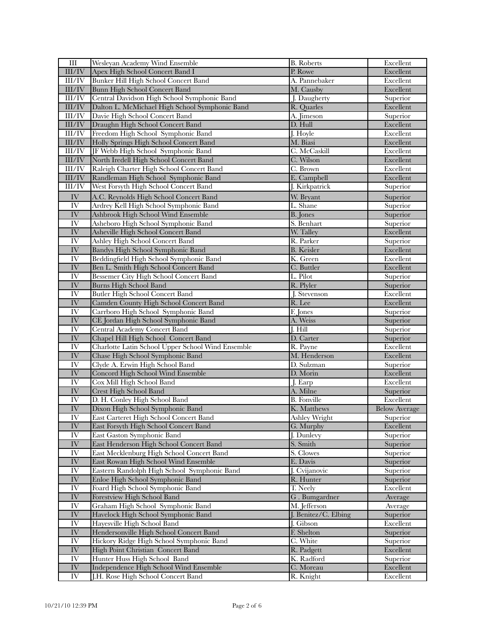| Ш                      | Wesleyan Academy Wind Ensemble                                       | <b>B.</b> Roberts        | Excellent             |
|------------------------|----------------------------------------------------------------------|--------------------------|-----------------------|
| $\rm III/IV$           | Apex High School Concert Band I                                      | P. Rowe                  | Excellent             |
| III/IV                 | Bunker Hill High School Concert Band                                 | A. Pannebaker            | Excellent             |
| $\rm III/IV$           | Bunn High School Concert Band                                        | M. Causby                | Excellent             |
| III/IV                 | Central Davidson High School Symphonic Band                          | J. Daugherty             | Superior              |
| $\rm III/IV$           | Dalton L. McMichael High School Symphonic Band                       | R. Quarles               | Excellent             |
| III/IV                 | Davie High School Concert Band                                       | A. Jimeson               | Superior              |
| $\rm III/IV$           | Draughn High School Concert Band                                     | D. Hull                  | Excellent             |
| III/IV                 | Freedom High School Symphonic Band                                   | J. Hoyle                 | Excellent             |
| $\rm III/IV$           | Holly Springs High School Concert Band                               | M. Biasi                 | Excellent             |
| III/IV                 | JF Webb High School Symphonic Band                                   | C. McCaskill             | Excellent             |
| III/IV                 | North Iredell High School Concert Band                               | C. Wilson                | Excellent             |
| III/IV                 | Raleigh Charter High School Concert Band                             | C. Brown                 | Excellent             |
| III/IV                 | Randleman High School Symphonic Band                                 | E. Campbell              | Excellent             |
| III/IV                 | West Forsyth High School Concert Band                                | J. Kirkpatrick           | Superior              |
| ${\rm IV}$             | A.C. Reynolds High School Concert Band                               | W. Bryant                | Superior              |
| IV                     | Ardrey Kell High School Symphonic Band                               | L. Shane                 | Superior              |
| IV                     | Ashbrook High School Wind Ensemble                                   | <b>B.</b> Jones          | Superior              |
| IV                     | Asheboro High School Symphonic Band                                  | S. Benhart               |                       |
| IV                     | Asheville High School Concert Band                                   | W. Talley                | Superior<br>Excellent |
| IV                     | Ashley High School Concert Band                                      | R. Parker                | Superior              |
| ${\rm IV}$             | Bandys High School Symphonic Band                                    | <b>B.</b> Keisler        | Excellent             |
| IV                     | Beddingfield High School Symphonic Band                              | K. Green                 | Excellent             |
| IV                     |                                                                      |                          |                       |
| IV                     | Ben L. Smith High School Concert Band                                | C. Buttler<br>L. Pilot   | Excellent             |
| IV                     | Bessemer City High School Concert Band                               | R. Plyler                | Superior              |
| IV <sub></sub>         | Burns High School Band<br><b>Butler High School Concert Band</b>     |                          | Superior<br>Excellent |
| $\overline{\text{IV}}$ |                                                                      | J. Stevenson             |                       |
| <b>IV</b>              | Camden County High School Concert Band                               | R. Lee                   | Excellent             |
|                        | Carrboro High School Symphonic Band                                  | F. Jones                 | Superior              |
| IV<br>IV               | CE Jordan High School Symphonic Band<br>Central Academy Concert Band | A. Weiss<br>$J.$ Hill    | Superior              |
| IV                     | Chapel Hill High School Concert Band                                 | D. Carter                | Superior              |
| IV                     | Charlotte Latin School Upper School Wind Ensemble                    |                          | Superior<br>Excellent |
| ${\rm IV}$             | Chase High School Symphonic Band                                     | R. Payne<br>M. Henderson | Excellent             |
| IV                     | Clyde A. Erwin High School Band                                      | D. Sulzman               | Superior              |
| IV                     | Concord High School Wind Ensemble                                    | D. Morin                 | Excellent             |
| IV                     | Cox Mill High School Band                                            | J. Earp                  | Excellent             |
| IV                     | Crest High School Band                                               | A. Milne                 | Superior              |
| $\overline{\text{IV}}$ | D. H. Conley High School Band                                        | <b>B.</b> Fonville       | Excellent             |
| ${\rm IV}$             | Dixon High School Symphonic Band                                     | K. Matthews              | <b>Below Average</b>  |
| IV <sub></sub>         | East Carteret High School Concert Band                               | Ashley Wright            | Superior              |
| IV                     | East Forsyth High School Concert Band                                | G. Murphy                | Excellent             |
| IV <sub></sub>         | East Gaston Symphonic Band                                           | J. Dunlevy               | Superior              |
| ${\rm IV}$             | East Henderson High School Concert Band                              | S. Smith                 | Superior              |
| IV                     | East Mecklenburg High School Concert Band                            | S. Clowes                | Superior              |
| $\overline{\text{IV}}$ | East Rowan High School Wind Ensemble                                 | E. Davis                 | Superior              |
| IV                     | Eastern Randolph High School Symphonic Band                          | J. Cvijanovic            | Superior              |
| $\overline{\text{IV}}$ | Enloe High School Symphonic Band                                     | R. Hunter                | Superior              |
| $\overline{\rm IV}$    | Foard High School Symphonic Band                                     | T. Neely                 | Excellent             |
| ${\rm IV}$             | Forestview High School Band                                          | G. Bumgardner            | Average               |
| IV                     | Graham High School Symphonic Band                                    | M. Jefferson             | Average               |
| IV                     | Havelock High School Symphonic Band                                  | J. Benitez/C. Elbing     | Superior              |
| IV <sub></sub>         | Hayesville High School Band                                          | J. Gibson                | Excellent             |
| $\overline{\text{IV}}$ | Hendersonville High School Concert Band                              | F. Shelton               | Superior              |
| $\overline{\text{IV}}$ | Hickory Ridge High School Symphonic Band                             | C. White                 | Superior              |
| ${\rm IV}$             | High Point Christian Concert Band                                    | R. Padgett               | Excellent             |
| IV                     | Hunter Huss High School Band                                         | K. Radford               | Superior              |
| ${\rm IV}$             | Independence High School Wind Ensemble                               | C. Moreau                | Excellent             |
| ${\rm IV}$             | J.H. Rose High School Concert Band                                   | R. Knight                | Excellent             |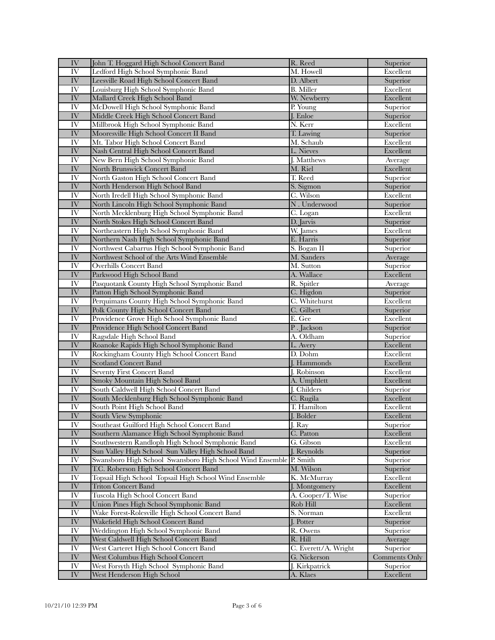| IV                     | John T. Hoggard High School Concert Band                                           | R. Reed              | Superior              |
|------------------------|------------------------------------------------------------------------------------|----------------------|-----------------------|
| IV                     | Ledford High School Symphonic Band                                                 | M. Howell            | Excellent             |
| ${\rm IV}$             | Leesville Road High School Concert Band                                            | D. Albert            | Superior              |
| IV                     | Louisburg High School Symphonic Band                                               | <b>B.</b> Miller     | Excellent             |
| IV                     | Mallard Creek High School Band                                                     | W. Newberry          | Excellent             |
| IV                     | McDowell High School Symphonic Band                                                | P. Young             | Superior              |
| IV                     | Middle Creek High School Concert Band                                              | J. Enloe             | Superior              |
| IV                     | Millbrook High School Symphonic Band                                               | N. Kerr              | Excellent             |
| IV                     | Mooresville High School Concert II Band                                            | T. Lawing            | Superior              |
| IV                     | Mt. Tabor High School Concert Band                                                 | M. Schaub            | Excellent             |
| IV                     | Nash Central High School Concert Band                                              | L. Nieves            | Excellent             |
| IV                     | New Bern High School Symphonic Band                                                | J. Matthews          | Average               |
| IV                     | North Brunswick Concert Band                                                       | M. Riel              | Excellent             |
| IV                     | North Gaston High School Concert Band                                              | T. Reed              | Superior              |
| $\overline{\text{IV}}$ | North Henderson High School Band                                                   | S. Sigmon            | Superior              |
| IV                     | North Iredell High School Symphonic Band                                           | C. Wilson            | Excellent             |
| IV                     | North Lincoln High School Symphonic Band                                           | N. Underwood         | Superior              |
| IV                     | North Mecklenburg High School Symphonic Band                                       | C. Logan             | Excellent             |
| IV                     | North Stokes High School Concert Band                                              | D. Jarvis            | Superior              |
| IV                     | Northeastern High School Symphonic Band                                            | W. James             | Excellent             |
| IV                     | Northern Nash High School Symphonic Band                                           | E. Harris            | Superior              |
| IV                     | Northwest Cabarrus High School Symphonic Band                                      | S. Bogan II          | Superior              |
| IV                     | Northwest School of the Arts Wind Ensemble                                         | M. Sanders           |                       |
| IV <sub></sub>         | <b>Overhills Concert Band</b>                                                      | M. Sutton            | Average               |
|                        |                                                                                    |                      | Superior              |
| IV<br>IV               | Parkwood High School Band<br>Pasquotank County High School Symphonic Band          | A. Wallace           | Excellent             |
| $\overline{\text{IV}}$ |                                                                                    | R. Spitler           | Average               |
| IV                     | Patton High School Symphonic Band                                                  | C. Higdon            | Superior              |
| IV                     | Perquimans County High School Symphonic Band                                       | C. Whitehurst        | Excellent             |
| IV                     | Polk County High School Concert Band                                               | C. Gilbert<br>E. Gee | Superior<br>Excellent |
| IV                     | Providence Grove High School Symphonic Band<br>Providence High School Concert Band | P. Jackson           | Superior              |
| IV                     | Ragsdale High School Band                                                          | A. Oldham            | Superior              |
| $\overline{\text{IV}}$ | Roanoke Rapids High School Symphonic Band                                          | L. Avery             | Excellent             |
| IV                     | Rockingham County High School Concert Band                                         | D. Dohm              | Excellent             |
| IV                     | <b>Scotland Concert Band</b>                                                       | J. Hammonds          | Excellent             |
| IV                     | <b>Seventy First Concert Band</b>                                                  | J. Robinson          | Excellent             |
| ${\rm IV}$             | Smoky Mountain High School Band                                                    | A. Umphlett          | Excellent             |
| IV                     | South Caldwell High School Concert Band                                            | J. Childers          | Superior              |
| IV                     | South Mecklenburg High School Symphonic Band                                       | C. Rugila            | Excellent             |
| IV                     | South Point High School Band                                                       | T. Hamilton          | Excellent             |
| IV                     | South View Symphonic                                                               | J. Bolder            | Excellent             |
| IV                     | Southeast Guilford High School Concert Band                                        | J. Ray               | Superior              |
| ${\rm IV}$             | Southern Alamance High School Symphonic Band                                       | C. Patton            | Excellent             |
| IV                     | Southwestern Randloph High School Symphonic Band                                   | G. Gibson            | Excellent             |
| IV                     | Sun Valley High School Sun Valley High School Band                                 | J. Reynolds          | Superior              |
| IV                     | Swansboro High School Swansboro High School Wind Ensemble P. Smith                 |                      | Superior              |
| ${\rm IV}$             | T.C. Roberson High School Concert Band                                             | M. Wilson            | Superior              |
| IV                     | Topsail High School Topsail High School Wind Ensemble                              | K. McMurray          | Excellent             |
| ${\rm IV}$             | <b>Triton Concert Band</b>                                                         | J. Montgomery        | Excellent             |
| IV                     | Tuscola High School Concert Band                                                   | A. Cooper/T. Wise    | Superior              |
| IV                     | Union Pines High School Symphonic Band                                             | Rob Hill             | Excellent             |
| IV                     | Wake Forest-Rolesville High School Concert Band                                    | S. Norman            | Excellent             |
| ${\rm IV}$             | Wakefield High School Concert Band                                                 | J. Potter            | Superior              |
| IV                     | Weddington High School Symphonic Band                                              | R. Owens             | Superior              |
| ${\rm IV}$             | West Caldwell High School Concert Band                                             | R. Hill              | Average               |
| IV                     | West Carteret High School Concert Band                                             | C. Everett/A. Wright | Superior              |
| ${\rm IV}$             | West Columbus High School Concert                                                  | G. Nickerson         | <b>Comments Only</b>  |
| IV                     | West Forsyth High School Symphonic Band                                            | J. Kirkpatrick       | Superior              |
| ${\rm IV}$             | West Henderson High School                                                         | A. Klaes             | Excellent             |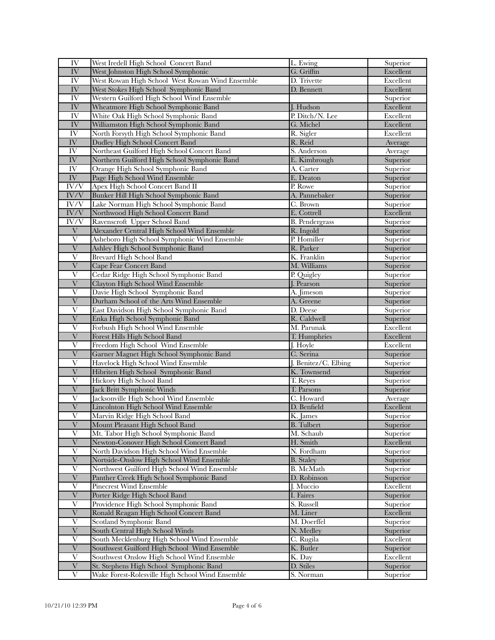| IV                        | West Iredell High School Concert Band            | L. Ewing              | Superior  |
|---------------------------|--------------------------------------------------|-----------------------|-----------|
| IV                        | West Johnston High School Symphonic              | G. Griffin            | Excellent |
| IV                        | West Rowan High School West Rowan Wind Ensemble  | D. Trivette           | Excellent |
| ${\rm IV}$                | West Stokes High School Symphonic Band           | D. Bennett            | Excellent |
| IV                        | Western Guilford High School Wind Ensemble       |                       | Superior  |
| IV                        | Wheatmore High School Symphonic Band             | J. Hudson             | Excellent |
| IV                        | White Oak High School Symphonic Band             | P. Ditch/N. Lee       | Excellent |
| IV                        | Williamston High School Symphonic Band           | G. Michel             | Excellent |
| IV                        | North Forsyth High School Symphonic Band         | R. Sigler             | Excellent |
| ${\rm IV}$                | Dudley High School Concert Band                  | R. Reid               | Average   |
| IV                        | Northeast Guilford High School Concert Band      | S. Anderson           | Average   |
| $\overline{\rm IV}$       | Northern Guilford High School Symphonic Band     | E. Kimbrough          | Superior  |
| IV                        | Orange High School Symphonic Band                | A. Carter             | Superior  |
| $\overline{\text{IV}}$    | Page High School Wind Ensemble                   | E. Deaton             | Superior  |
| $\overline{\text{IV/V}}$  | Apex High School Concert Band II                 | P. Rowe               | Superior  |
| $\overline{\text{IV/V}}$  | Bunker Hill High School Symphonic Band           | A. Pannebaker         | Superior  |
| IV/V                      | Lake Norman High School Symphonic Band           | C. Brown              | Superior  |
| IV/V                      | Northwood High School Concert Band               | E. Cottrell           | Excellent |
| IV/V                      | Ravenscroft Upper School Band                    | <b>B.</b> Pendergrass | Superior  |
| $\ensuremath{\text{V}}$   | Alexander Central High School Wind Ensemble      | R. Ingold             | Superior  |
| V                         | Asheboro High School Symphonic Wind Ensemble     | P. Homiller           | Superior  |
| $\overline{\mathrm{V}}$   | Ashley High School Symphonic Band                | R. Parker             | Superior  |
| $\overline{\mathrm{V}}$   | Brevard High School Band                         | K. Franklin           | Superior  |
| $\overline{\mathrm{V}}$   | <b>Cape Fear Concert Band</b>                    | M. Williams           | Superior  |
| $\mathbf{V}$              | Cedar Ridge High School Symphonic Band           | P. Quigley            | Superior  |
| $\overline{\mathbf{V}}$   | Clayton High School Wind Ensemble                | J. Pearson            | Superior  |
| V                         | Davie High School Symphonic Band                 | A. Jimeson            | Superior  |
| $\overline{\mathrm{V}}$   | Durham School of the Arts Wind Ensemble          | A. Greene             | Superior  |
| $\overline{\mathrm{V}}$   | East Davidson High School Symphonic Band         | D. Deese              | Superior  |
| $\overline{\mathrm{V}}$   | Enka High School Symphonic Band                  | R. Caldwell           | Superior  |
| $\overline{\mathrm{V}}$   | Forbush High School Wind Ensemble                | M. Parunak            | Excellent |
| $\ensuremath{\mathbf{V}}$ | Forest Hills High School Band                    | T. Humphries          | Excellent |
| V                         | Freedom High School Wind Ensemble                | J. Hoyle              | Excellent |
| $\mathbf{V}$              | Garner Magnet High School Symphonic Band         | C. Serina             | Superior  |
| V                         | Havelock High School Wind Ensemble               | J. Benitez/C. Elbing  | Superior  |
| $\overline{\mathrm{V}}$   | Hibriten High School Symphonic Band              | K. Townsend           | Superior  |
| V                         | Hickory High School Band                         | T. Reyes              | Superior  |
| $\overline{V}$            | Jack Britt Symphonic Winds                       | T. Parsons            | Superior  |
| $\overline{\mathrm{V}}$   | Jacksonville High School Wind Ensemble           | C. Howard             | Average   |
| $\overline{\mathrm{V}}$   | <b>Lincolnton High School Wind Ensemble</b>      | D. Benfield           | Excellent |
| $\overline{\mathrm{V}}$   | Marvin Ridge High School Band                    | K. James              | Superior  |
| V                         | Mount Pleasant High School Band                  | <b>B.</b> Tulbert     | Superior  |
| $\mathbf{V}$              | Mt. Tabor High School Symphonic Band             | M. Schaub             | Superior  |
| $\overline{\mathrm{V}}$   | Newton-Conover High School Concert Band          | H. Smith              | Excellent |
| V                         | North Davidson High School Wind Ensemble         | N. Fordham            | Superior  |
| $\overline{\mathrm{V}}$   | Nortside-Onslow High School Wind Ensemble        | <b>B.</b> Staley      | Superior  |
| $\overline{\mathrm{V}}$   | Northwest Guilford High School Wind Ensemble     | B. McMath             | Superior  |
| $\ensuremath{\text{V}}$   | Panther Creek High School Symphonic Band         | D. Robinson           | Superior  |
| V                         | Pinecrest Wind Ensemble                          | J. Muccio             | Excellent |
| $\overline{\mathrm{V}}$   | Porter Ridge High School Band                    | I. Faires             | Superior  |
| $\mathbf{V}$              | Providence High School Symphonic Band            | S. Russell            | Superior  |
| $\mathbf{V}$              | Ronald Reagan High School Concert Band           | M. Liner              | Excellent |
| $\mathbf{V}$              | Scotland Symphonic Band                          | M. Doerffel           | Superior  |
| $\ensuremath{\text{V}}$   | South Central High School Winds                  | N. Medley             | Superior  |
| V                         | South Mecklenburg High School Wind Ensemble      | C. Rugila             | Excellent |
| $\overline{\mathrm{V}}$   | Southwest Guilford High School Wind Ensemble     | K. Butler             | Superior  |
| $\overline{\mathrm{V}}$   | Southwest Onslow High School Wind Ensemble       | K. Day                | Excellent |
| $\overline{\mathbf{V}}$   | St. Stephens High School Symphonic Band          | D. Stiles             | Superior  |
| V                         | Wake Forest-Rolesville High School Wind Ensemble | S. Norman             | Superior  |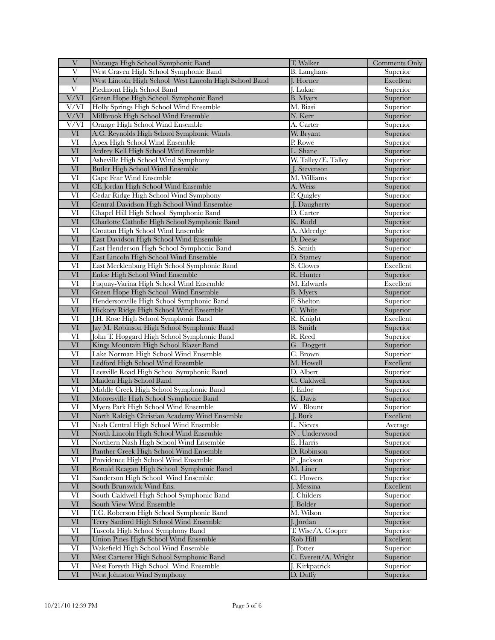| V                       | Watauga High School Symphonic Band                     | T. Walker                | Comments Only |
|-------------------------|--------------------------------------------------------|--------------------------|---------------|
| $\overline{\mathrm{V}}$ | West Craven High School Symphonic Band                 | <b>B.</b> Langhans       | Superior      |
| $\overline{\mathbf{V}}$ | West Lincoln High School West Lincoln High School Band | J. Horner                | Excellent     |
| V                       | Piedmont High School Band                              | J. Lukac                 | Superior      |
| V/VI                    | Green Hope High School Symphonic Band                  | <b>B.</b> Myers          | Superior      |
| V/VI                    | Holly Springs High School Wind Ensemble                | M. Biasi                 | Superior      |
| V/VI                    | Millbrook High School Wind Ensemble                    | N. Kerr                  | Superior      |
| V/VI                    | Orange High School Wind Ensemble                       | A. Carter                | Superior      |
| <b>VI</b>               | A.C. Reynolds High School Symphonic Winds              | W. Bryant                | Superior      |
| VI                      | Apex High School Wind Ensemble                         | P. Rowe                  | Superior      |
| VI                      |                                                        | L. Shane                 | Superior      |
|                         | Ardrey Kell High School Wind Ensemble                  |                          |               |
| VI                      | Asheville High School Wind Symphony                    | W. Talley/E. Talley      | Superior      |
| VI                      | Butler High School Wind Ensemble                       | J. Stevenson             | Superior      |
| VI                      | Cape Fear Wind Ensemble                                | M. Williams              | Superior      |
| VI                      | CE Jordan High School Wind Ensemble                    | A. Weiss                 | Superior      |
| VI                      | Cedar Ridge High School Wind Symphony                  | P. Quigley               | Superior      |
| $\overline{\text{VI}}$  | Central Davidson High School Wind Ensemble             | J. Daugherty             | Superior      |
| VI                      | Chapel Hill High School Symphonic Band                 | D. Carter                | Superior      |
| VI                      | Charlotte Catholic High School Symphonic Band          | K. Rudd                  | Superior      |
| VI                      | Croatan High School Wind Ensemble                      | A. Aldredge              | Superior      |
| $\overline{\text{VI}}$  | East Davidson High School Wind Ensemble                | D. Deese                 | Superior      |
| VI                      | East Henderson High School Symphonic Band              | S. Smith                 | Superior      |
| $\overline{\text{VI}}$  | East Lincoln High School Wind Ensemble                 | D. Stamey                | Superior      |
| VI                      | East Mecklenburg High School Symphonic Band            | S. Clowes                | Excellent     |
| VI                      | Enloe High School Wind Ensemble                        | R. Hunter                | Superior      |
| VI                      | Fuquay-Varina High School Wind Ensemble                | M. Edwards               | Excellent     |
| VI                      | Green Hope High School Wind Ensemble                   | <b>B.</b> Myers          | Superior      |
| $\overline{\text{VI}}$  | Hendersonville High School Symphonic Band              | F. Shelton               | Superior      |
| VI                      | Hickory Ridge High School Wind Ensemble                | C. White                 | Superior      |
| $\overline{\text{VI}}$  | J.H. Rose High School Symphonic Band                   | R. Knight                | Excellent     |
| VI                      | Jay M. Robinson High School Symphonic Band             | <b>B.</b> Smith          | Superior      |
| VI                      | John T. Hoggard High School Symphonic Band             | R. Reed                  | Superior      |
| $\overline{\text{VI}}$  | Kings Mountain High School Blazer Band                 | G. Doggett               | Superior      |
| VI                      | Lake Norman High School Wind Ensemble                  | C. Brown                 | Superior      |
| $\overline{\text{VI}}$  | Ledford High School Wind Ensemble                      | M. Howell                | Excellent     |
| VI                      | Leesville Road High Schoo Symphonic Band               | D. Albert                | Superior      |
|                         |                                                        |                          |               |
| VI                      | Maiden High School Band                                | C. Caldwell              | Superior      |
| VI                      | Middle Creek High School Symphonic Band                | J. Enloe                 | Superior      |
| VI                      | Mooresville High School Symphonic Band                 | K. Davis                 | Superior      |
| VI                      | Myers Park High School Wind Ensemble                   | W. Blount                | Superior      |
| VI                      | North Raleigh Christian Academy Wind Ensemble          | J. Burk                  | Excellent     |
| VI                      | Nash Central High School Wind Ensemble                 | L. Nieves                | Average       |
| $\overline{\text{VI}}$  | North Lincoln High School Wind Ensemble                | N. Underwood             | Superior      |
| VI                      | Northern Nash High School Wind Ensemble                | E. Harris                | Superior      |
| VI                      | Panther Creek High School Wind Ensemble                | D. Robinson              | Superior      |
| $\overline{\text{VI}}$  | Providence High School Wind Ensemble                   | $\overline{P}$ . Jackson | Superior      |
| VI                      | Ronald Reagan High School Symphonic Band               | M. Liner                 | Superior      |
| VI                      | Sanderson High School Wind Ensemble                    | C. Flowers               | Superior      |
| VI                      | South Brunswick Wind Ens.                              | J. Messina               | Excellent     |
| VI                      | South Caldwell High School Symphonic Band              | J. Childers              | Superior      |
| $\overline{\text{VI}}$  | South View Wind Ensemble                               | J. Bolder                | Superior      |
| VI                      | T.C. Roberson High School Symphonic Band               | M. Wilson                | Superior      |
| VI                      | Terry Sanford High School Wind Ensemble                | J. Jordan                | Superior      |
| VI                      | Tuscola High School Symphony Band                      | T. Wise/A. Cooper        | Superior      |
| $\overline{\text{VI}}$  | Union Pines High School Wind Ensemble                  | Rob Hill                 | Excellent     |
| VI                      | Wakefield High School Wind Ensemble                    | J. Potter                | Superior      |
| VI                      | West Carteret High School Symphonic Band               | C. Everett/A. Wright     | Superior      |
| VI                      | West Forsyth High School Wind Ensemble                 | J. Kirkpatrick           | Superior      |
| $\mbox{VI}$             | West Johnston Wind Symphony                            | D. Duffy                 | Superior      |
|                         |                                                        |                          |               |